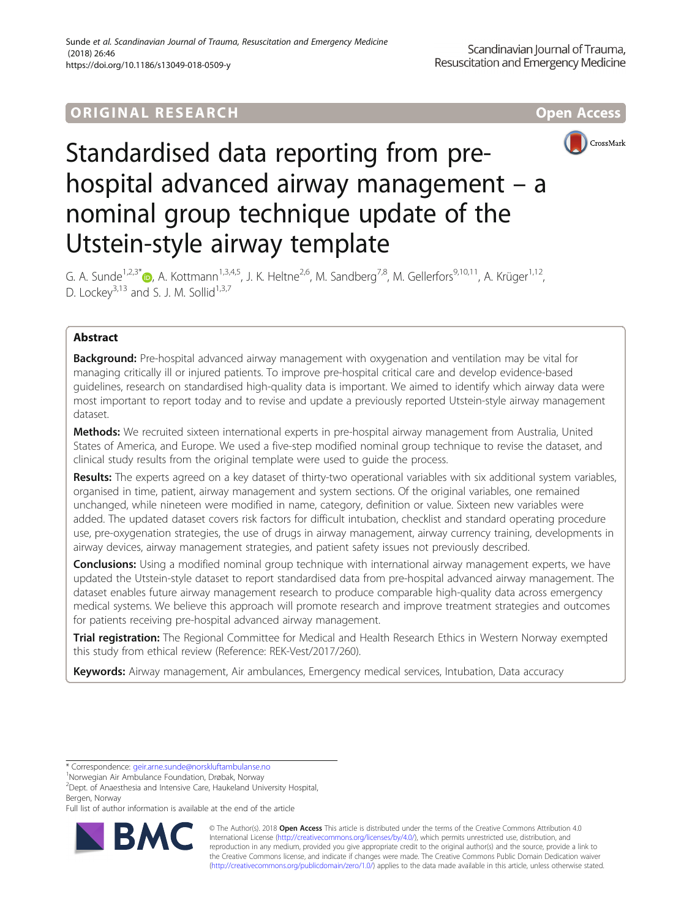# **ORIGINAL RESEARCH CONFIDENTIAL CONTRACT CONTRACT OPEN ACCESS**





# Standardised data reporting from prehospital advanced airway management – a nominal group technique update of the Utstein-style airway template

G. A. Sunde<sup>1,2,3[\\*](http://orcid.org/0000-0002-1606-5795)</sup>  $\bullet$ , A. Kottmann<sup>1,3,4,5</sup>, J. K. Heltne<sup>2,6</sup>, M. Sandberg<sup>7,8</sup>, M. Gellerfors<sup>9,10,11</sup>, A. Krüger<sup>1,12</sup>, D. Lockey<sup>3,13</sup> and S. J. M. Sollid<sup>1,3,7</sup>

## Abstract

Background: Pre-hospital advanced airway management with oxygenation and ventilation may be vital for managing critically ill or injured patients. To improve pre-hospital critical care and develop evidence-based guidelines, research on standardised high-quality data is important. We aimed to identify which airway data were most important to report today and to revise and update a previously reported Utstein-style airway management dataset.

Methods: We recruited sixteen international experts in pre-hospital airway management from Australia, United States of America, and Europe. We used a five-step modified nominal group technique to revise the dataset, and clinical study results from the original template were used to guide the process.

Results: The experts agreed on a key dataset of thirty-two operational variables with six additional system variables, organised in time, patient, airway management and system sections. Of the original variables, one remained unchanged, while nineteen were modified in name, category, definition or value. Sixteen new variables were added. The updated dataset covers risk factors for difficult intubation, checklist and standard operating procedure use, pre-oxygenation strategies, the use of drugs in airway management, airway currency training, developments in airway devices, airway management strategies, and patient safety issues not previously described.

**Conclusions:** Using a modified nominal group technique with international airway management experts, we have updated the Utstein-style dataset to report standardised data from pre-hospital advanced airway management. The dataset enables future airway management research to produce comparable high-quality data across emergency medical systems. We believe this approach will promote research and improve treatment strategies and outcomes for patients receiving pre-hospital advanced airway management.

**Trial registration:** The Regional Committee for Medical and Health Research Ethics in Western Norway exempted this study from ethical review (Reference: REK-Vest/2017/260).

Keywords: Airway management, Air ambulances, Emergency medical services, Intubation, Data accuracy

Full list of author information is available at the end of the article



© The Author(s). 2018 Open Access This article is distributed under the terms of the Creative Commons Attribution 4.0 International License [\(http://creativecommons.org/licenses/by/4.0/](http://creativecommons.org/licenses/by/4.0/)), which permits unrestricted use, distribution, and reproduction in any medium, provided you give appropriate credit to the original author(s) and the source, provide a link to the Creative Commons license, and indicate if changes were made. The Creative Commons Public Domain Dedication waiver [\(http://creativecommons.org/publicdomain/zero/1.0/](http://creativecommons.org/publicdomain/zero/1.0/)) applies to the data made available in this article, unless otherwise stated.

<sup>\*</sup> Correspondence: [geir.arne.sunde@norskluftambulanse.no](mailto:geir.arne.sunde@norskluftambulanse.no) <sup>1</sup>

<sup>&</sup>lt;sup>1</sup>Norwegian Air Ambulance Foundation, Drøbak, Norway

<sup>2</sup> Dept. of Anaesthesia and Intensive Care, Haukeland University Hospital, Bergen, Norway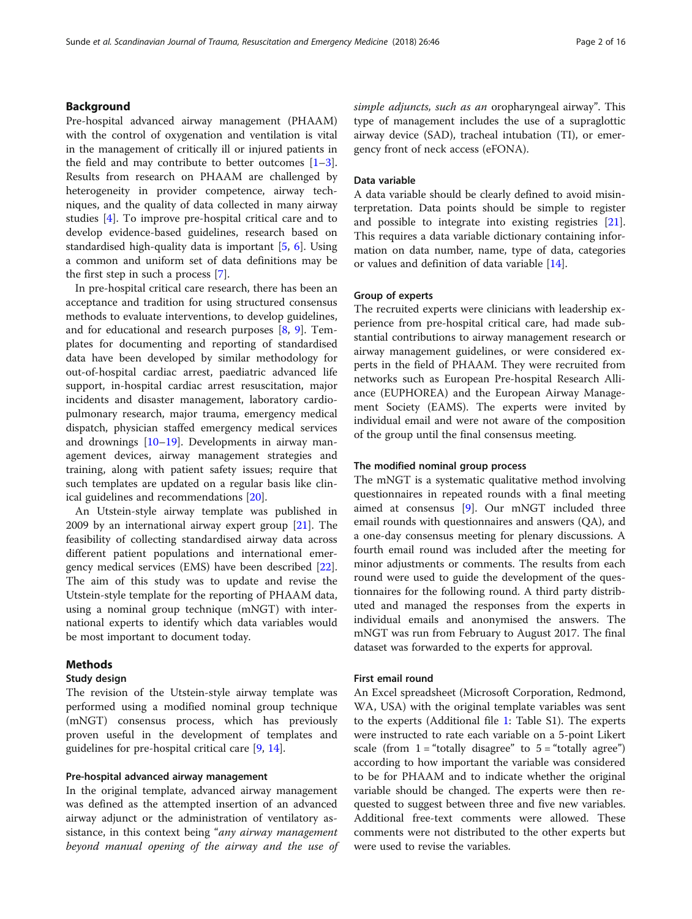## Background

Pre-hospital advanced airway management (PHAAM) with the control of oxygenation and ventilation is vital in the management of critically ill or injured patients in the field and may contribute to better outcomes  $[1-3]$  $[1-3]$  $[1-3]$  $[1-3]$ . Results from research on PHAAM are challenged by heterogeneity in provider competence, airway techniques, and the quality of data collected in many airway studies [[4\]](#page-13-0). To improve pre-hospital critical care and to develop evidence-based guidelines, research based on standardised high-quality data is important [[5](#page-13-0), [6](#page-13-0)]. Using a common and uniform set of data definitions may be the first step in such a process [[7\]](#page-13-0).

In pre-hospital critical care research, there has been an acceptance and tradition for using structured consensus methods to evaluate interventions, to develop guidelines, and for educational and research purposes [[8,](#page-13-0) [9\]](#page-13-0). Templates for documenting and reporting of standardised data have been developed by similar methodology for out-of-hospital cardiac arrest, paediatric advanced life support, in-hospital cardiac arrest resuscitation, major incidents and disaster management, laboratory cardiopulmonary research, major trauma, emergency medical dispatch, physician staffed emergency medical services and drownings [[10](#page-13-0)–[19](#page-13-0)]. Developments in airway management devices, airway management strategies and training, along with patient safety issues; require that such templates are updated on a regular basis like clinical guidelines and recommendations [[20\]](#page-13-0).

An Utstein-style airway template was published in 2009 by an international airway expert group [\[21](#page-13-0)]. The feasibility of collecting standardised airway data across different patient populations and international emergency medical services (EMS) have been described [\[22](#page-13-0)]. The aim of this study was to update and revise the Utstein-style template for the reporting of PHAAM data, using a nominal group technique (mNGT) with international experts to identify which data variables would be most important to document today.

## Methods

## Study design

The revision of the Utstein-style airway template was performed using a modified nominal group technique (mNGT) consensus process, which has previously proven useful in the development of templates and guidelines for pre-hospital critical care [[9,](#page-13-0) [14](#page-13-0)].

### Pre-hospital advanced airway management

In the original template, advanced airway management was defined as the attempted insertion of an advanced airway adjunct or the administration of ventilatory assistance, in this context being "any airway management beyond manual opening of the airway and the use of simple adjuncts, such as an oropharyngeal airway". This type of management includes the use of a supraglottic airway device (SAD), tracheal intubation (TI), or emergency front of neck access (eFONA).

#### Data variable

A data variable should be clearly defined to avoid misinterpretation. Data points should be simple to register and possible to integrate into existing registries [\[21](#page-13-0)]. This requires a data variable dictionary containing information on data number, name, type of data, categories or values and definition of data variable [\[14](#page-13-0)].

#### Group of experts

The recruited experts were clinicians with leadership experience from pre-hospital critical care, had made substantial contributions to airway management research or airway management guidelines, or were considered experts in the field of PHAAM. They were recruited from networks such as European Pre-hospital Research Alliance (EUPHOREA) and the European Airway Management Society (EAMS). The experts were invited by individual email and were not aware of the composition of the group until the final consensus meeting.

### The modified nominal group process

The mNGT is a systematic qualitative method involving questionnaires in repeated rounds with a final meeting aimed at consensus [[9\]](#page-13-0). Our mNGT included three email rounds with questionnaires and answers (QA), and a one-day consensus meeting for plenary discussions. A fourth email round was included after the meeting for minor adjustments or comments. The results from each round were used to guide the development of the questionnaires for the following round. A third party distributed and managed the responses from the experts in individual emails and anonymised the answers. The mNGT was run from February to August 2017. The final dataset was forwarded to the experts for approval.

## First email round

An Excel spreadsheet (Microsoft Corporation, Redmond, WA, USA) with the original template variables was sent to the experts (Additional file [1](#page-12-0): Table S1). The experts were instructed to rate each variable on a 5-point Likert scale (from  $1 =$  "totally disagree" to  $5 =$  "totally agree") according to how important the variable was considered to be for PHAAM and to indicate whether the original variable should be changed. The experts were then requested to suggest between three and five new variables. Additional free-text comments were allowed. These comments were not distributed to the other experts but were used to revise the variables.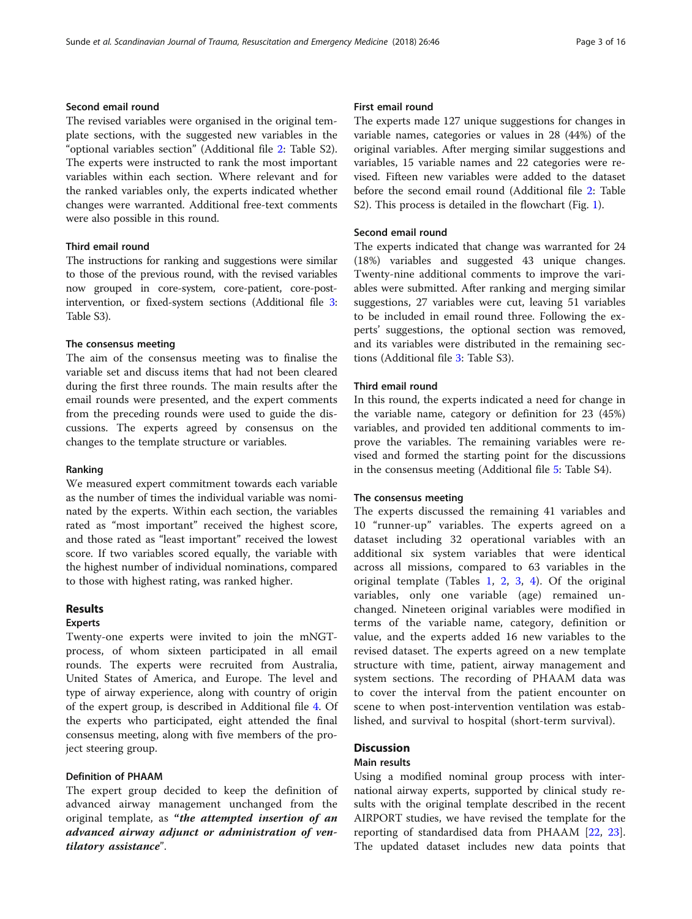## Second email round

The revised variables were organised in the original template sections, with the suggested new variables in the "optional variables section" (Additional file [2:](#page-12-0) Table S2). The experts were instructed to rank the most important variables within each section. Where relevant and for the ranked variables only, the experts indicated whether changes were warranted. Additional free-text comments were also possible in this round.

## Third email round

The instructions for ranking and suggestions were similar to those of the previous round, with the revised variables now grouped in core-system, core-patient, core-postintervention, or fixed-system sections (Additional file [3](#page-12-0): Table S3).

#### The consensus meeting

The aim of the consensus meeting was to finalise the variable set and discuss items that had not been cleared during the first three rounds. The main results after the email rounds were presented, and the expert comments from the preceding rounds were used to guide the discussions. The experts agreed by consensus on the changes to the template structure or variables.

#### Ranking

We measured expert commitment towards each variable as the number of times the individual variable was nominated by the experts. Within each section, the variables rated as "most important" received the highest score, and those rated as "least important" received the lowest score. If two variables scored equally, the variable with the highest number of individual nominations, compared to those with highest rating, was ranked higher.

#### Results

## Experts

Twenty-one experts were invited to join the mNGTprocess, of whom sixteen participated in all email rounds. The experts were recruited from Australia, United States of America, and Europe. The level and type of airway experience, along with country of origin of the expert group, is described in Additional file [4](#page-12-0). Of the experts who participated, eight attended the final consensus meeting, along with five members of the project steering group.

#### Definition of PHAAM

The expert group decided to keep the definition of advanced airway management unchanged from the original template, as "the attempted insertion of an advanced airway adjunct or administration of ventilatory assistance".

## First email round

The experts made 127 unique suggestions for changes in variable names, categories or values in 28 (44%) of the original variables. After merging similar suggestions and variables, 15 variable names and 22 categories were revised. Fifteen new variables were added to the dataset before the second email round (Additional file [2](#page-12-0): Table S2). This process is detailed in the flowchart (Fig. [1\)](#page-3-0).

## Second email round

The experts indicated that change was warranted for 24 (18%) variables and suggested 43 unique changes. Twenty-nine additional comments to improve the variables were submitted. After ranking and merging similar suggestions, 27 variables were cut, leaving 51 variables to be included in email round three. Following the experts' suggestions, the optional section was removed, and its variables were distributed in the remaining sections (Additional file [3](#page-12-0): Table S3).

## Third email round

In this round, the experts indicated a need for change in the variable name, category or definition for 23 (45%) variables, and provided ten additional comments to improve the variables. The remaining variables were revised and formed the starting point for the discussions in the consensus meeting (Additional file [5](#page-12-0): Table S4).

## The consensus meeting

The experts discussed the remaining 41 variables and 10 "runner-up" variables. The experts agreed on a dataset including 32 operational variables with an additional six system variables that were identical across all missions, compared to 63 variables in the original template (Tables [1,](#page-3-0) [2](#page-4-0), [3,](#page-6-0) [4](#page-9-0)). Of the original variables, only one variable (age) remained unchanged. Nineteen original variables were modified in terms of the variable name, category, definition or value, and the experts added 16 new variables to the revised dataset. The experts agreed on a new template structure with time, patient, airway management and system sections. The recording of PHAAM data was to cover the interval from the patient encounter on scene to when post-intervention ventilation was established, and survival to hospital (short-term survival).

## **Discussion**

## Main results

Using a modified nominal group process with international airway experts, supported by clinical study results with the original template described in the recent AIRPORT studies, we have revised the template for the reporting of standardised data from PHAAM [[22,](#page-13-0) [23](#page-13-0)]. The updated dataset includes new data points that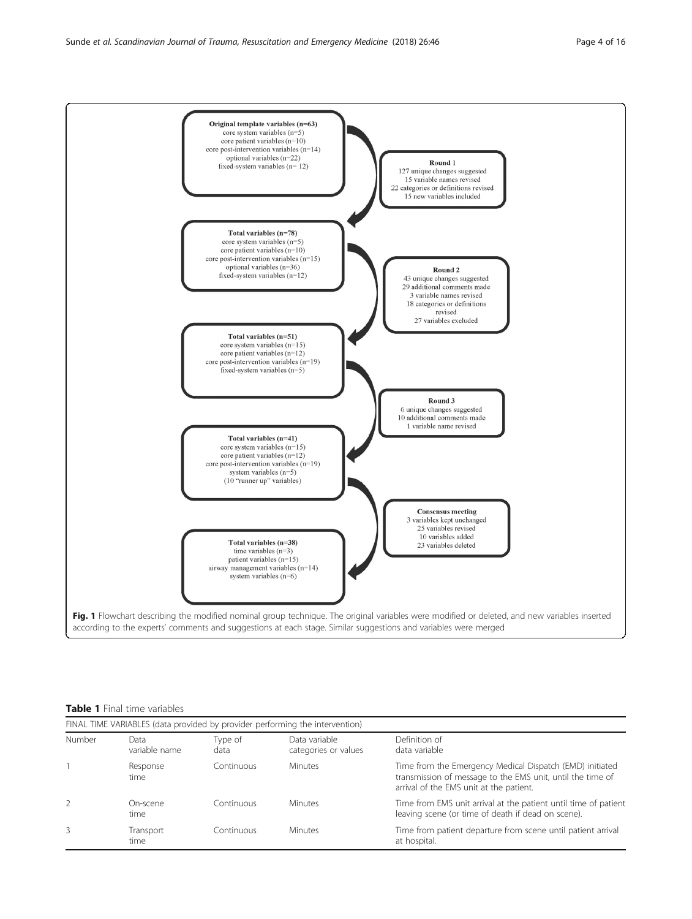<span id="page-3-0"></span>

Table 1 Final time variables

| FINAL TIME VARIABLES (data provided by provider performing the intervention) |                       |                 |                                       |                                                                                                                                                                   |
|------------------------------------------------------------------------------|-----------------------|-----------------|---------------------------------------|-------------------------------------------------------------------------------------------------------------------------------------------------------------------|
| Number                                                                       | Data<br>variable name | Type of<br>data | Data variable<br>categories or values | Definition of<br>data variable                                                                                                                                    |
|                                                                              | Response<br>time      | Continuous      | <b>Minutes</b>                        | Time from the Emergency Medical Dispatch (EMD) initiated<br>transmission of message to the EMS unit, until the time of<br>arrival of the EMS unit at the patient. |
| $\mathcal{P}$                                                                | On-scene<br>time      | Continuous      | <b>Minutes</b>                        | Time from EMS unit arrival at the patient until time of patient<br>leaving scene (or time of death if dead on scene).                                             |
| 3                                                                            | Transport<br>time     | Continuous      | <b>Minutes</b>                        | Time from patient departure from scene until patient arrival<br>at hospital.                                                                                      |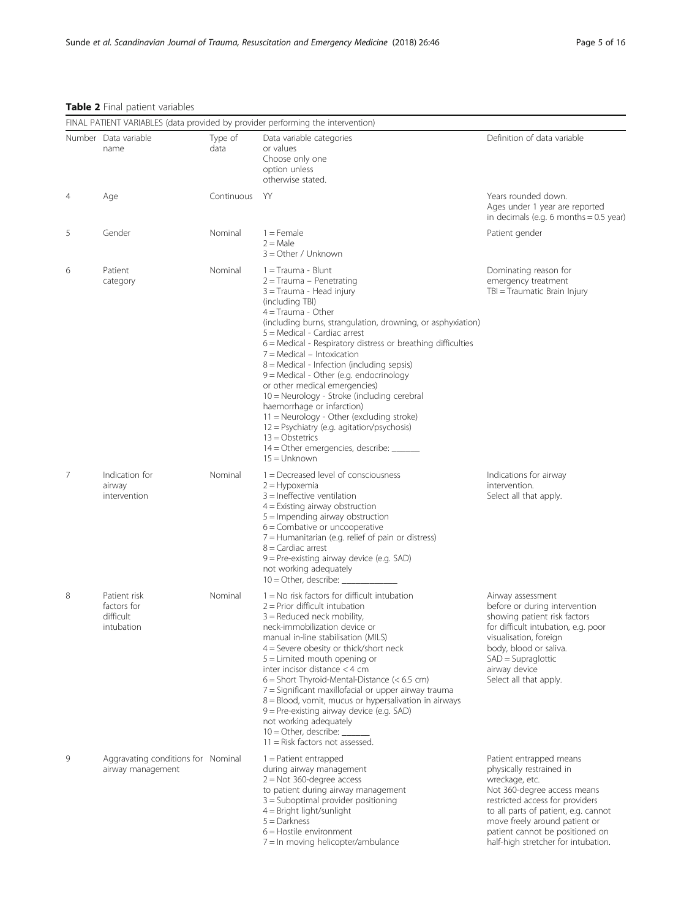## <span id="page-4-0"></span>Table 2 Final patient variables

|   | FINAL PATIENT VARIABLES (data provided by provider performing the intervention) |                 |                                                                                                                                                                                                                                                                                                                                                                                                                                                                                                                                                                                                                                                                                                               |                                                                                                                                                                                                                                                                                            |  |
|---|---------------------------------------------------------------------------------|-----------------|---------------------------------------------------------------------------------------------------------------------------------------------------------------------------------------------------------------------------------------------------------------------------------------------------------------------------------------------------------------------------------------------------------------------------------------------------------------------------------------------------------------------------------------------------------------------------------------------------------------------------------------------------------------------------------------------------------------|--------------------------------------------------------------------------------------------------------------------------------------------------------------------------------------------------------------------------------------------------------------------------------------------|--|
|   | Number Data variable<br>name                                                    | Type of<br>data | Data variable categories<br>or values<br>Choose only one<br>option unless<br>otherwise stated.                                                                                                                                                                                                                                                                                                                                                                                                                                                                                                                                                                                                                | Definition of data variable                                                                                                                                                                                                                                                                |  |
| 4 | Age                                                                             | Continuous      | YY                                                                                                                                                                                                                                                                                                                                                                                                                                                                                                                                                                                                                                                                                                            | Years rounded down.<br>Ages under 1 year are reported<br>in decimals (e.g. 6 months $= 0.5$ year)                                                                                                                                                                                          |  |
| 5 | Gender                                                                          | Nominal         | $1 =$ Female<br>$2 = Male$<br>$3 =$ Other / Unknown                                                                                                                                                                                                                                                                                                                                                                                                                                                                                                                                                                                                                                                           | Patient gender                                                                                                                                                                                                                                                                             |  |
| 6 | Patient<br>category                                                             | Nominal         | $1 = Trauma - Blunt$<br>$2 =$ Trauma – Penetrating<br>3 = Trauma - Head injury<br>(including TBI)<br>$4 =$ Trauma - Other<br>(including burns, strangulation, drowning, or asphyxiation)<br>5 = Medical - Cardiac arrest<br>6 = Medical - Respiratory distress or breathing difficulties<br>7 = Medical - Intoxication<br>$8 =$ Medical - Infection (including sepsis)<br>9 = Medical - Other (e.g. endocrinology<br>or other medical emergencies)<br>10 = Neurology - Stroke (including cerebral<br>haemorrhage or infarction)<br>11 = Neurology - Other (excluding stroke)<br>12 = Psychiatry (e.g. agitation/psychosis)<br>$13 =$ Obstetrics<br>14 = Other emergencies, describe: ______<br>$15 =$ Unknown | Dominating reason for<br>emergency treatment<br>TBI = Traumatic Brain Injury                                                                                                                                                                                                               |  |
| 7 | Indication for<br>airway<br>intervention                                        | Nominal         | $1 =$ Decreased level of consciousness<br>2 = Hypoxemia<br>$3$ = Ineffective ventilation<br>$4$ = Existing airway obstruction<br>$5 =$ Impending airway obstruction<br>$6 =$ Combative or uncooperative<br>7 = Humanitarian (e.g. relief of pain or distress)<br>8 = Cardiac arrest<br>9 = Pre-existing airway device (e.g. SAD)<br>not working adequately<br>$10 =$ Other, describe:                                                                                                                                                                                                                                                                                                                         | Indications for airway<br>intervention.<br>Select all that apply.                                                                                                                                                                                                                          |  |
| 8 | Patient risk<br>factors for<br>difficult<br>intubation                          | Nominal         | $1 = No$ risk factors for difficult intubation<br>$2$ = Prior difficult intubation<br>$3 =$ Reduced neck mobility,<br>neck-immobilization device or<br>manual in-line stabilisation (MILS)<br>4 = Severe obesity or thick/short neck<br>5 = Limited mouth opening or<br>inter incisor distance $<$ 4 cm<br>$6 =$ Short Thyroid-Mental-Distance (< 6.5 cm)<br>7 = Significant maxillofacial or upper airway trauma<br>8 = Blood, vomit, mucus or hypersalivation in airways<br>9 = Pre-existing airway device (e.g. SAD)<br>not working adequately<br>$10 =$ Other, describe: $\frac{1}{2}$<br>$11$ = Risk factors not assessed.                                                                               | Airway assessment<br>before or during intervention<br>showing patient risk factors<br>for difficult intubation, e.g. poor<br>visualisation, foreign<br>body, blood or saliva.<br>$SAD = Supraglottic$<br>airway device<br>Select all that apply.                                           |  |
| 9 | Aggravating conditions for Nominal<br>airway management                         |                 | $1 =$ Patient entrapped<br>during airway management<br>$2 = Not 360$ -degree access<br>to patient during airway management<br>$3 =$ Suboptimal provider positioning<br>$4 =$ Bright light/sunlight<br>$5 =$ Darkness<br>$6$ = Hostile environment<br>7 = In moving helicopter/ambulance                                                                                                                                                                                                                                                                                                                                                                                                                       | Patient entrapped means<br>physically restrained in<br>wreckage, etc.<br>Not 360-degree access means<br>restricted access for providers<br>to all parts of patient, e.g. cannot<br>move freely around patient or<br>patient cannot be positioned on<br>half-high stretcher for intubation. |  |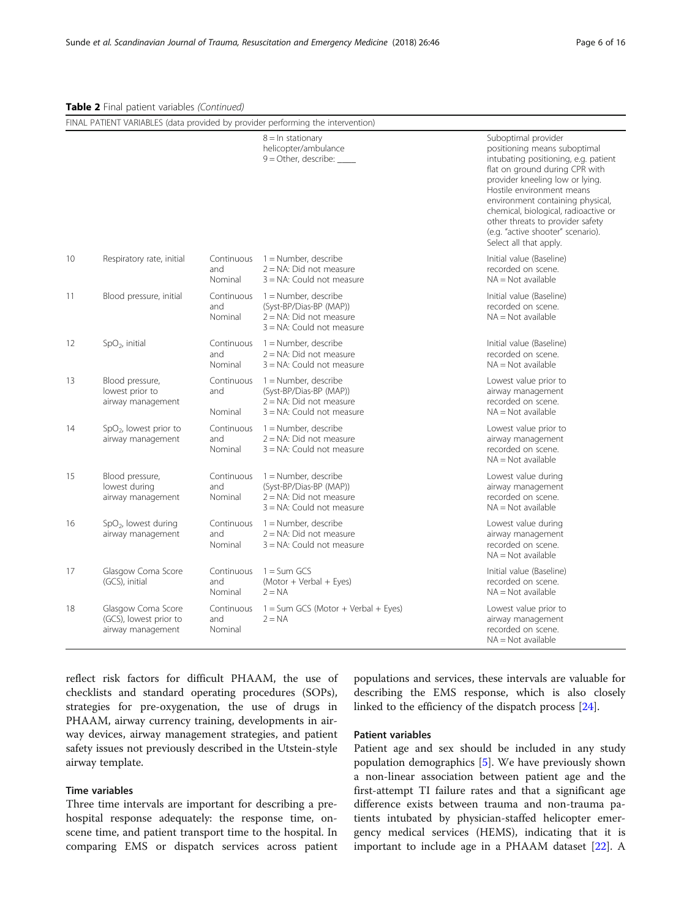## Table 2 Final patient variables (Continued)

|    | FINAL PATIENT VARIABLES (data provided by provider performing the intervention) |                              |                                                                                                                 |                                                                                                                                                                                                                                                                                                                                                                              |  |
|----|---------------------------------------------------------------------------------|------------------------------|-----------------------------------------------------------------------------------------------------------------|------------------------------------------------------------------------------------------------------------------------------------------------------------------------------------------------------------------------------------------------------------------------------------------------------------------------------------------------------------------------------|--|
|    |                                                                                 |                              | $8 = \ln$ stationary<br>helicopter/ambulance<br>$9 =$ Other, describe:                                          | Suboptimal provider<br>positioning means suboptimal<br>intubating positioning, e.g. patient<br>flat on ground during CPR with<br>provider kneeling low or lying.<br>Hostile environment means<br>environment containing physical,<br>chemical, biological, radioactive or<br>other threats to provider safety<br>(e.g. "active shooter" scenario).<br>Select all that apply. |  |
| 10 | Respiratory rate, initial                                                       | Continuous<br>and<br>Nominal | $1 =$ Number, describe<br>$2 = NA$ : Did not measure<br>$3 = NA$ : Could not measure                            | Initial value (Baseline)<br>recorded on scene.<br>NA = Not available                                                                                                                                                                                                                                                                                                         |  |
| 11 | Blood pressure, initial                                                         | Continuous<br>and<br>Nominal | $1 =$ Number, describe<br>(Syst-BP/Dias-BP (MAP))<br>$2 = NA$ : Did not measure<br>$3 = NA$ : Could not measure | Initial value (Baseline)<br>recorded on scene.<br>$NA = Not available$                                                                                                                                                                                                                                                                                                       |  |
| 12 | $SpO2$ , initial                                                                | Continuous<br>and<br>Nominal | $1 =$ Number, describe<br>$2 = NA$ : Did not measure<br>$3 = NA$ : Could not measure                            | Initial value (Baseline)<br>recorded on scene.<br>$NA = Not available$                                                                                                                                                                                                                                                                                                       |  |
| 13 | Blood pressure,<br>lowest prior to<br>airway management                         | Continuous<br>and<br>Nominal | $1 =$ Number, describe<br>(Syst-BP/Dias-BP (MAP))<br>$2 = NA$ : Did not measure<br>$3 = NA$ : Could not measure | Lowest value prior to<br>airway management<br>recorded on scene.<br>$NA = Not available$                                                                                                                                                                                                                                                                                     |  |
| 14 | $SpO2$ , lowest prior to<br>airway management                                   | Continuous<br>and<br>Nominal | $1 =$ Number, describe<br>$2 = NA$ : Did not measure<br>$3 = NA$ : Could not measure                            | Lowest value prior to<br>airway management<br>recorded on scene.<br>$NA = Not available$                                                                                                                                                                                                                                                                                     |  |
| 15 | Blood pressure,<br>lowest during<br>airway management                           | Continuous<br>and<br>Nominal | $1 =$ Number, describe<br>(Syst-BP/Dias-BP (MAP))<br>$2 = NA$ : Did not measure<br>$3 = NA$ : Could not measure | Lowest value during<br>airway management<br>recorded on scene.<br>NA = Not available                                                                                                                                                                                                                                                                                         |  |
| 16 | $SpO2$ , lowest during<br>airway management                                     | Continuous<br>and<br>Nominal | $1 =$ Number, describe<br>$2 = NA$ : Did not measure<br>$3 = NA$ : Could not measure                            | Lowest value during<br>airway management<br>recorded on scene.<br>$NA = Not available$                                                                                                                                                                                                                                                                                       |  |
| 17 | Glasgow Coma Score<br>(GCS), initial                                            | Continuous<br>and<br>Nominal | $1 = Sum$ GCS<br>(Motor + Verbal + Eyes)<br>$2 = NA$                                                            | Initial value (Baseline)<br>recorded on scene.<br>$NA = Not available$                                                                                                                                                                                                                                                                                                       |  |
| 18 | Glasgow Coma Score<br>(GCS), lowest prior to<br>airway management               | Continuous<br>and<br>Nominal | $1 = Sum GCS (Motor + Verbal + Eyes)$<br>$2 = NA$                                                               | Lowest value prior to<br>airway management<br>recorded on scene.<br>$NA = Not available$                                                                                                                                                                                                                                                                                     |  |

reflect risk factors for difficult PHAAM, the use of checklists and standard operating procedures (SOPs), strategies for pre-oxygenation, the use of drugs in PHAAM, airway currency training, developments in airway devices, airway management strategies, and patient safety issues not previously described in the Utstein-style airway template.

## Time variables

Three time intervals are important for describing a prehospital response adequately: the response time, onscene time, and patient transport time to the hospital. In comparing EMS or dispatch services across patient

populations and services, these intervals are valuable for describing the EMS response, which is also closely linked to the efficiency of the dispatch process [\[24\]](#page-13-0).

## Patient variables

Patient age and sex should be included in any study population demographics [\[5\]](#page-13-0). We have previously shown a non-linear association between patient age and the first-attempt TI failure rates and that a significant age difference exists between trauma and non-trauma patients intubated by physician-staffed helicopter emergency medical services (HEMS), indicating that it is important to include age in a PHAAM dataset [\[22](#page-13-0)]. A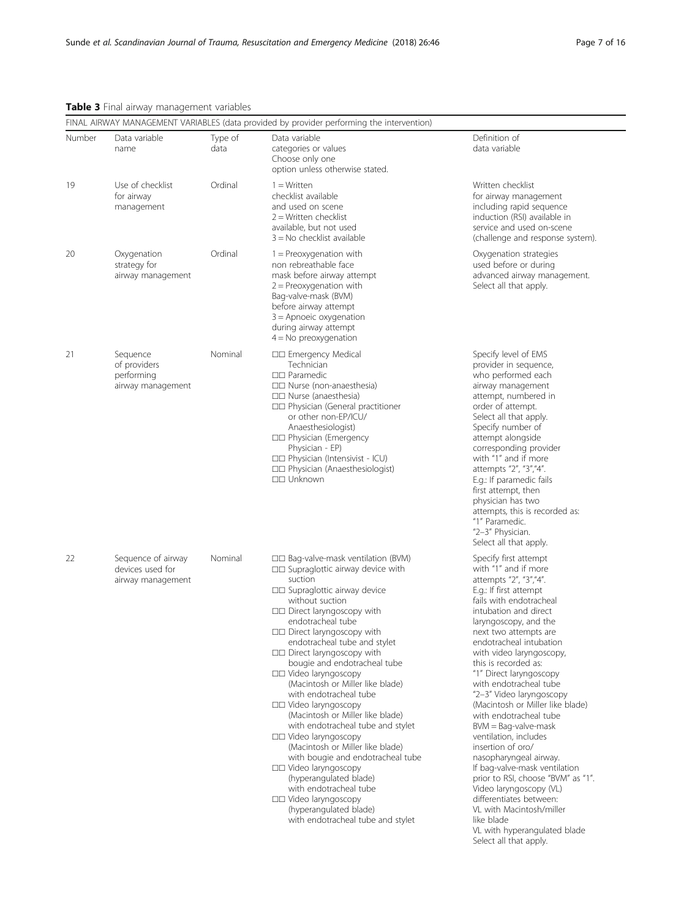## <span id="page-6-0"></span>Table 3 Final airway management variables

|        |                                                             |                 | FINAL AIRWAY MANAGEMENT VARIABLES (data provided by provider performing the intervention)                                                                                                                                                                                                                                                                                                                                                                                                                                                                                                                                                                                                                                                                                                  |                                                                                                                                                                                                                                                                                                                                                                                                                                                                                                                                                                                                                                                                                                                                                                          |
|--------|-------------------------------------------------------------|-----------------|--------------------------------------------------------------------------------------------------------------------------------------------------------------------------------------------------------------------------------------------------------------------------------------------------------------------------------------------------------------------------------------------------------------------------------------------------------------------------------------------------------------------------------------------------------------------------------------------------------------------------------------------------------------------------------------------------------------------------------------------------------------------------------------------|--------------------------------------------------------------------------------------------------------------------------------------------------------------------------------------------------------------------------------------------------------------------------------------------------------------------------------------------------------------------------------------------------------------------------------------------------------------------------------------------------------------------------------------------------------------------------------------------------------------------------------------------------------------------------------------------------------------------------------------------------------------------------|
| Number | Data variable<br>name                                       | Type of<br>data | Data variable<br>categories or values<br>Choose only one<br>option unless otherwise stated.                                                                                                                                                                                                                                                                                                                                                                                                                                                                                                                                                                                                                                                                                                | Definition of<br>data variable                                                                                                                                                                                                                                                                                                                                                                                                                                                                                                                                                                                                                                                                                                                                           |
| 19     | Use of checklist<br>for airway<br>management                | Ordinal         | $1 = W$ ritten<br>checklist available<br>and used on scene<br>$2$ = Written checklist<br>available, but not used<br>$3 = No$ checklist available                                                                                                                                                                                                                                                                                                                                                                                                                                                                                                                                                                                                                                           | Written checklist<br>for airway management<br>including rapid sequence<br>induction (RSI) available in<br>service and used on-scene<br>(challenge and response system).                                                                                                                                                                                                                                                                                                                                                                                                                                                                                                                                                                                                  |
| 20     | Oxygenation<br>strategy for<br>airway management            | Ordinal         | $1 = Preoxygenation with$<br>non rebreathable face<br>mask before airway attempt<br>$2 = Preoxygenation with$<br>Bag-valve-mask (BVM)<br>before airway attempt<br>$3 =$ Apnoeic oxygenation<br>during airway attempt<br>$4 = No$ preoxygenation                                                                                                                                                                                                                                                                                                                                                                                                                                                                                                                                            | Oxygenation strategies<br>used before or during<br>advanced airway management.<br>Select all that apply.                                                                                                                                                                                                                                                                                                                                                                                                                                                                                                                                                                                                                                                                 |
| 21     | Sequence<br>of providers<br>performing<br>airway management | Nominal         | □□ Emergency Medical<br>Technician<br>$\Box$ Paramedic<br>□□ Nurse (non-anaesthesia)<br>□□ Nurse (anaesthesia)<br>□□ Physician (General practitioner<br>or other non-EP/ICU/<br>Anaesthesiologist)<br>$\Box$ Physician (Emergency<br>Physician - EP)<br>□□ Physician (Intensivist - ICU)<br>□□ Physician (Anaesthesiologist)<br>□□ Unknown                                                                                                                                                                                                                                                                                                                                                                                                                                                 | Specify level of EMS<br>provider in sequence,<br>who performed each<br>airway management<br>attempt, numbered in<br>order of attempt.<br>Select all that apply.<br>Specify number of<br>attempt alongside<br>corresponding provider<br>with "1" and if more<br>attempts "2", "3", "4".<br>E.g.: If paramedic fails<br>first attempt, then<br>physician has two<br>attempts, this is recorded as:<br>"1" Paramedic.<br>"2-3" Physician.<br>Select all that apply.                                                                                                                                                                                                                                                                                                         |
| 22     | Sequence of airway<br>devices used for<br>airway management | Nominal         | □□ Bag-valve-mask ventilation (BVM)<br>□□ Supraglottic airway device with<br>suction<br>□□ Supraglottic airway device<br>without suction<br>DI Direct laryngoscopy with<br>endotracheal tube<br>DI Direct laryngoscopy with<br>endotracheal tube and stylet<br>□□ Direct laryngoscopy with<br>bougie and endotracheal tube<br>□□ Video laryngoscopy<br>(Macintosh or Miller like blade)<br>with endotracheal tube<br>□□ Video laryngoscopy<br>(Macintosh or Miller like blade)<br>with endotracheal tube and stylet<br>□□ Video laryngoscopy<br>(Macintosh or Miller like blade)<br>with bougie and endotracheal tube<br>□□ Video laryngoscopy<br>(hyperangulated blade)<br>with endotracheal tube<br>□□ Video laryngoscopy<br>(hyperangulated blade)<br>with endotracheal tube and stylet | Specify first attempt<br>with "1" and if more<br>attempts "2", "3","4".<br>E.g.: If first attempt<br>fails with endotracheal<br>intubation and direct<br>laryngoscopy, and the<br>next two attempts are<br>endotracheal intubation<br>with video laryngoscopy,<br>this is recorded as:<br>"1" Direct laryngoscopy<br>with endotracheal tube<br>"2-3" Video laryngoscopy<br>(Macintosh or Miller like blade)<br>with endotracheal tube<br>$BVM = Bag-value-mask$<br>ventilation, includes<br>insertion of oro/<br>nasopharyngeal airway.<br>If bag-valve-mask ventilation<br>prior to RSI, choose "BVM" as "1".<br>Video laryngoscopy (VL)<br>differentiates between:<br>VL with Macintosh/miller<br>like blade<br>VL with hyperangulated blade<br>Select all that apply. |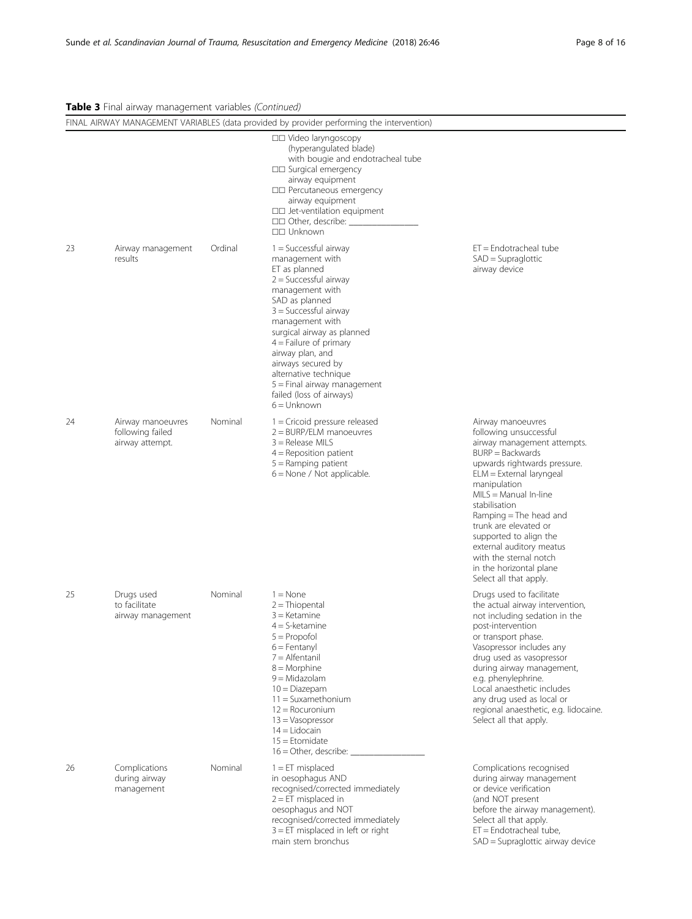## Table 3 Final airway management variables (Continued)

|    |                                                          |         | FINAL AIRWAY MANAGEMENT VARIABLES (data provided by provider performing the intervention)                                                                                                                                                                                                                                                                                            |                                                                                                                                                                                                                                                                                                                                                                                                                  |
|----|----------------------------------------------------------|---------|--------------------------------------------------------------------------------------------------------------------------------------------------------------------------------------------------------------------------------------------------------------------------------------------------------------------------------------------------------------------------------------|------------------------------------------------------------------------------------------------------------------------------------------------------------------------------------------------------------------------------------------------------------------------------------------------------------------------------------------------------------------------------------------------------------------|
|    |                                                          |         | $\Box$ Video laryngoscopy<br>(hyperangulated blade)<br>with bougie and endotracheal tube<br><b>ID</b> Surgical emergency<br>airway equipment<br>□□ Percutaneous emergency<br>airway equipment<br>□□ Jet-ventilation equipment<br>$\square\square$ Other, describe: _________<br>□□ Unknown                                                                                           |                                                                                                                                                                                                                                                                                                                                                                                                                  |
| 23 | Airway management<br>results                             | Ordinal | $1 =$ Successful airway<br>management with<br>ET as planned<br>$2 =$ Successful airway<br>management with<br>SAD as planned<br>$3 =$ Successful airway<br>management with<br>surgical airway as planned<br>$4 =$ Failure of primary<br>airway plan, and<br>airways secured by<br>alternative technique<br>$5 =$ Final airway management<br>failed (loss of airways)<br>$6 =$ Unknown | $ET = Endotracheal tube$<br>$SAD = Supraglottic$<br>airway device                                                                                                                                                                                                                                                                                                                                                |
| 24 | Airway manoeuvres<br>following failed<br>airway attempt. | Nominal | $1 =$ Cricoid pressure released<br>2 = BURP/ELM manoeuvres<br>$3 =$ Release MILS<br>$4 =$ Reposition patient<br>$5 =$ Ramping patient<br>6 = None / Not applicable.                                                                                                                                                                                                                  | Airway manoeuvres<br>following unsuccessful<br>airway management attempts.<br>BURP = Backwards<br>upwards rightwards pressure.<br>$ELM = External$ laryngeal<br>manipulation<br>$MILS = Manual In-line$<br>stabilisation<br>Ramping = The head and<br>trunk are elevated or<br>supported to align the<br>external auditory meatus<br>with the sternal notch<br>in the horizontal plane<br>Select all that apply. |
| 25 | Drugs used<br>to facilitate<br>airway management         | Nominal | $1 = \text{None}$<br>$2 = Thiopental$<br>$3$ = Ketamine<br>$4 = S$ -ketamine<br>$5 =$ Propofol<br>$6 =$ Fentanyl<br>$7 =$ Alfentanil<br>$8 =$ Morphine<br>$9 = Midazolam$<br>$10 = Diazepam$<br>$11 =$ Suxamethonium<br>$12 =$ Rocuronium<br>$13 = Vasopressor$<br>$14 =$ Lidocain<br>$15 =$ Etomidate                                                                               | Drugs used to facilitate<br>the actual airway intervention,<br>not including sedation in the<br>post-intervention<br>or transport phase.<br>Vasopressor includes any<br>drug used as vasopressor<br>during airway management,<br>e.g. phenylephrine.<br>Local anaesthetic includes<br>any drug used as local or<br>regional anaesthetic, e.g. lidocaine.<br>Select all that apply.                               |
| 26 | Complications<br>during airway<br>management             | Nominal | $1 = ET$ misplaced<br>in oesophagus AND<br>recognised/corrected immediately<br>$2 = ET$ misplaced in<br>oesophagus and NOT<br>recognised/corrected immediately<br>$3 = ET$ misplaced in left or right<br>main stem bronchus                                                                                                                                                          | Complications recognised<br>during airway management<br>or device verification<br>(and NOT present<br>before the airway management).<br>Select all that apply.<br>$ET = Endotracheal tube,$<br>SAD = Supraglottic airway device                                                                                                                                                                                  |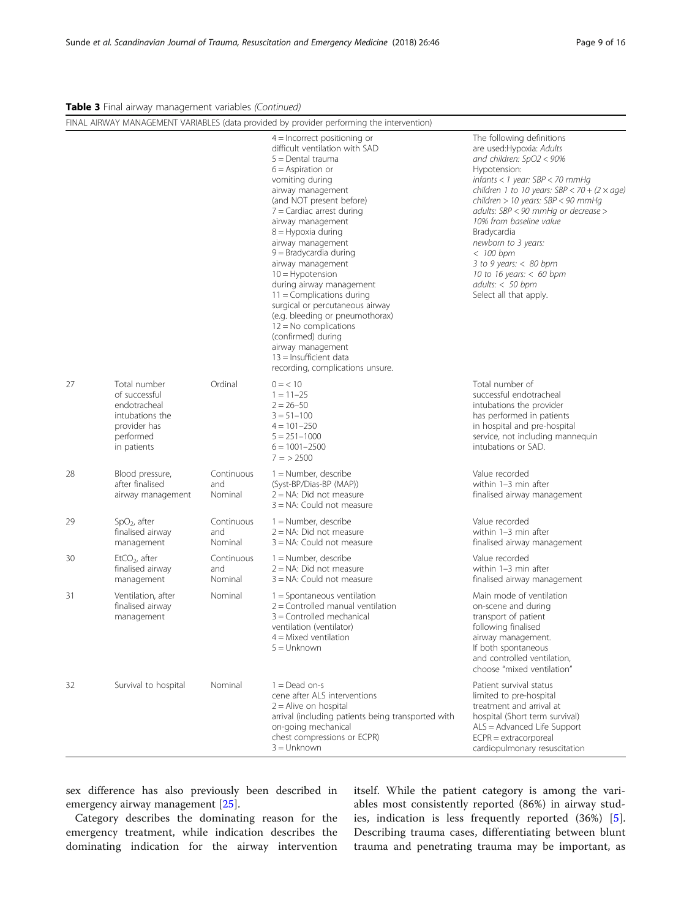## Table 3 Final airway management variables (Continued)

|    | FINAL AIRWAY MANAGEMENT VARIABLES (data provided by provider performing the intervention)                    |                              |                                                                                                                                                                                                                                                                                                                                                                                                                                                                                                                                                                                                                             |                                                                                                                                                                                                                                                                                                                                                                                                                                                                          |  |
|----|--------------------------------------------------------------------------------------------------------------|------------------------------|-----------------------------------------------------------------------------------------------------------------------------------------------------------------------------------------------------------------------------------------------------------------------------------------------------------------------------------------------------------------------------------------------------------------------------------------------------------------------------------------------------------------------------------------------------------------------------------------------------------------------------|--------------------------------------------------------------------------------------------------------------------------------------------------------------------------------------------------------------------------------------------------------------------------------------------------------------------------------------------------------------------------------------------------------------------------------------------------------------------------|--|
|    |                                                                                                              |                              | $4$ = Incorrect positioning or<br>difficult ventilation with SAD<br>5 = Dental trauma<br>$6 =$ Aspiration or<br>vomiting during<br>airway management<br>(and NOT present before)<br>$7$ = Cardiac arrest during<br>airway management<br>8 = Hypoxia during<br>airway management<br>9 = Bradycardia during<br>airway management<br>$10 =$ Hypotension<br>during airway management<br>$11 =$ Complications during<br>surgical or percutaneous airway<br>(e.g. bleeding or pneumothorax)<br>$12 = No$ complications<br>(confirmed) during<br>airway management<br>$13$ = Insufficient data<br>recording, complications unsure. | The following definitions<br>are used: Hypoxia: Adults<br>and children: SpO2 < 90%<br>Hypotension:<br>$in$ fants < 1 year: SBP < 70 mmHq<br>children 1 to 10 years: $SBP < 70 + (2 \times age)$<br>$children > 10$ years: $SBP < 90$ mmHq<br>adults: SBP < 90 mmHq or decrease ><br>10% from baseline value<br>Bradycardia<br>newborn to 3 years:<br>$< 100$ bpm<br>3 to 9 years: $< 80$ bpm<br>10 to 16 years: $<$ 60 bpm<br>adults: < 50 bpm<br>Select all that apply. |  |
| 27 | Total number<br>of successful<br>endotracheal<br>intubations the<br>provider has<br>performed<br>in patients | Ordinal                      | $0 = 10$<br>$1 = 11 - 25$<br>$2 = 26 - 50$<br>$3 = 51 - 100$<br>$4 = 101 - 250$<br>$5 = 251 - 1000$<br>$6 = 1001 - 2500$<br>$7 = 2500$                                                                                                                                                                                                                                                                                                                                                                                                                                                                                      | Total number of<br>successful endotracheal<br>intubations the provider<br>has performed in patients<br>in hospital and pre-hospital<br>service, not including mannequin<br>intubations or SAD.                                                                                                                                                                                                                                                                           |  |
| 28 | Blood pressure,<br>after finalised<br>airway management                                                      | Continuous<br>and<br>Nominal | $1 =$ Number, describe<br>(Syst-BP/Dias-BP (MAP))<br>$2 = NA$ : Did not measure<br>$3 = NA$ : Could not measure                                                                                                                                                                                                                                                                                                                                                                                                                                                                                                             | Value recorded<br>within 1-3 min after<br>finalised airway management                                                                                                                                                                                                                                                                                                                                                                                                    |  |
| 29 | $SpO2$ , after<br>finalised airway<br>management                                                             | Continuous<br>and<br>Nominal | $1 =$ Number, describe<br>$2 = NA$ : Did not measure<br>$3 = NA$ : Could not measure                                                                                                                                                                                                                                                                                                                                                                                                                                                                                                                                        | Value recorded<br>within 1-3 min after<br>finalised airway management                                                                                                                                                                                                                                                                                                                                                                                                    |  |
| 30 | $EtCO2$ , after<br>finalised airway<br>management                                                            | Continuous<br>and<br>Nominal | 1 = Number, describe<br>$2 = NA$ : Did not measure<br>$3 = NA$ : Could not measure                                                                                                                                                                                                                                                                                                                                                                                                                                                                                                                                          | Value recorded<br>within 1-3 min after<br>finalised airway management                                                                                                                                                                                                                                                                                                                                                                                                    |  |
| 31 | Ventilation, after<br>finalised airway<br>management                                                         | Nominal                      | $1 =$ Spontaneous ventilation<br>$2$ = Controlled manual ventilation<br>3 = Controlled mechanical<br>ventilation (ventilator)<br>$4$ = Mixed ventilation<br>5 = Unknown                                                                                                                                                                                                                                                                                                                                                                                                                                                     | Main mode of ventilation<br>on-scene and during<br>transport of patient<br>following finalised<br>airway management.<br>If both spontaneous<br>and controlled ventilation,<br>choose "mixed ventilation"                                                                                                                                                                                                                                                                 |  |
| 32 | Survival to hospital                                                                                         | Nominal                      | $1 = Dead$ on-s<br>cene after ALS interventions<br>$2 =$ Alive on hospital<br>arrival (including patients being transported with<br>on-going mechanical<br>chest compressions or ECPR)<br>$3 =$ Unknown                                                                                                                                                                                                                                                                                                                                                                                                                     | Patient survival status<br>limited to pre-hospital<br>treatment and arrival at<br>hospital (Short term survival)<br>ALS = Advanced Life Support<br>$ECPR = extracorporeal$<br>cardiopulmonary resuscitation                                                                                                                                                                                                                                                              |  |

sex difference has also previously been described in emergency airway management [[25](#page-13-0)].

Category describes the dominating reason for the emergency treatment, while indication describes the dominating indication for the airway intervention itself. While the patient category is among the variables most consistently reported (86%) in airway studies, indication is less frequently reported (36%) [[5](#page-13-0)]. Describing trauma cases, differentiating between blunt trauma and penetrating trauma may be important, as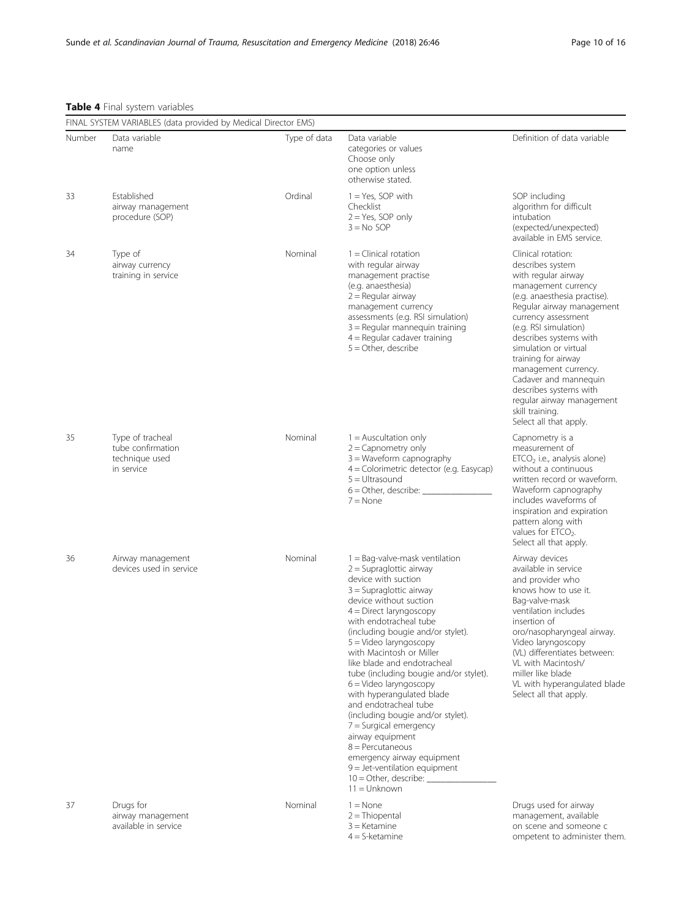## <span id="page-9-0"></span>Table 4 Final system variables

|        | FINAL SYSTEM VARIABLES (data provided by Medical Director EMS)        |              |                                                                                                                                                                                                                                                                                                                                                                                                                                                                                                                                                                                                                                                                                          |                                                                                                                                                                                                                                                                                                                                                                                                                                  |
|--------|-----------------------------------------------------------------------|--------------|------------------------------------------------------------------------------------------------------------------------------------------------------------------------------------------------------------------------------------------------------------------------------------------------------------------------------------------------------------------------------------------------------------------------------------------------------------------------------------------------------------------------------------------------------------------------------------------------------------------------------------------------------------------------------------------|----------------------------------------------------------------------------------------------------------------------------------------------------------------------------------------------------------------------------------------------------------------------------------------------------------------------------------------------------------------------------------------------------------------------------------|
| Number | Data variable<br>name                                                 | Type of data | Data variable<br>categories or values<br>Choose only<br>one option unless<br>otherwise stated.                                                                                                                                                                                                                                                                                                                                                                                                                                                                                                                                                                                           | Definition of data variable                                                                                                                                                                                                                                                                                                                                                                                                      |
| 33     | Established<br>airway management<br>procedure (SOP)                   | Ordinal      | $1 = Yes$ , SOP with<br>Checklist<br>$2 = Yes$ , SOP only<br>$3 = No$ SOP                                                                                                                                                                                                                                                                                                                                                                                                                                                                                                                                                                                                                | SOP including<br>algorithm for difficult<br>intubation<br>(expected/unexpected)<br>available in EMS service.                                                                                                                                                                                                                                                                                                                     |
| 34     | Type of<br>airway currency<br>training in service                     | Nominal      | $1 =$ Clinical rotation<br>with regular airway<br>management practise<br>(e.g. anaesthesia)<br>$2 =$ Regular airway<br>management currency<br>assessments (e.g. RSI simulation)<br>$3 =$ Regular mannequin training<br>$4 =$ Regular cadaver training<br>$5 =$ Other, describe                                                                                                                                                                                                                                                                                                                                                                                                           | Clinical rotation:<br>describes system<br>with regular airway<br>management currency<br>(e.g. anaesthesia practise).<br>Regular airway management<br>currency assessment<br>(e.g. RSI simulation)<br>describes systems with<br>simulation or virtual<br>training for airway<br>management currency.<br>Cadaver and mannequin<br>describes systems with<br>regular airway management<br>skill training.<br>Select all that apply. |
| 35     | Type of tracheal<br>tube confirmation<br>technique used<br>in service | Nominal      | $1 =$ Auscultation only<br>$2 =$ Capnometry only<br>$3 =$ Waveform capnography<br>4 = Colorimetric detector (e.g. Easycap)<br>$5 =$ Ultrasound<br>$6 =$ Other, describe: $\_\_$<br>$7 = None$                                                                                                                                                                                                                                                                                                                                                                                                                                                                                            | Capnometry is a<br>measurement of<br>$ETCO2$ i.e., analysis alone)<br>without a continuous<br>written record or waveform.<br>Waveform capnography<br>includes waveforms of<br>inspiration and expiration<br>pattern along with<br>values for ETCO <sub>2</sub> .<br>Select all that apply.                                                                                                                                       |
| 36     | Airway management<br>devices used in service                          | Nominal      | $1 =$ Bag-valve-mask ventilation<br>$2 =$ Supraglottic airway<br>device with suction<br>$3 =$ Supraglottic airway<br>device without suction<br>$4$ = Direct laryngoscopy<br>with endotracheal tube<br>(including bougie and/or stylet).<br>$5 =$ Video laryngoscopy<br>with Macintosh or Miller<br>like blade and endotracheal<br>tube (including bougie and/or stylet).<br>$6 =$ Video laryngoscopy<br>with hyperangulated blade<br>and endotracheal tube<br>(including bougie and/or stylet).<br>$7 =$ Surgical emergency<br>airway equipment<br>$8 =$ Percutaneous<br>emergency airway equipment<br>9 = Jet-ventilation equipment<br>$10 =$ Other, describe: $\_\_$<br>$11 =$ Unknown | Airway devices<br>available in service<br>and provider who<br>knows how to use it.<br>Bag-valve-mask<br>ventilation includes<br>insertion of<br>oro/nasopharyngeal airway.<br>Video laryngoscopy<br>(VL) differentiates between:<br>VL with Macintosh/<br>miller like blade<br>VL with hyperangulated blade<br>Select all that apply.                                                                                            |
| 37     | Drugs for<br>airway management<br>available in service                | Nominal      | $1 = \text{None}$<br>$2 = Thiopental$<br>$3$ = Ketamine<br>$4 = S$ -ketamine                                                                                                                                                                                                                                                                                                                                                                                                                                                                                                                                                                                                             | Drugs used for airway<br>management, available<br>on scene and someone c<br>ompetent to administer them.                                                                                                                                                                                                                                                                                                                         |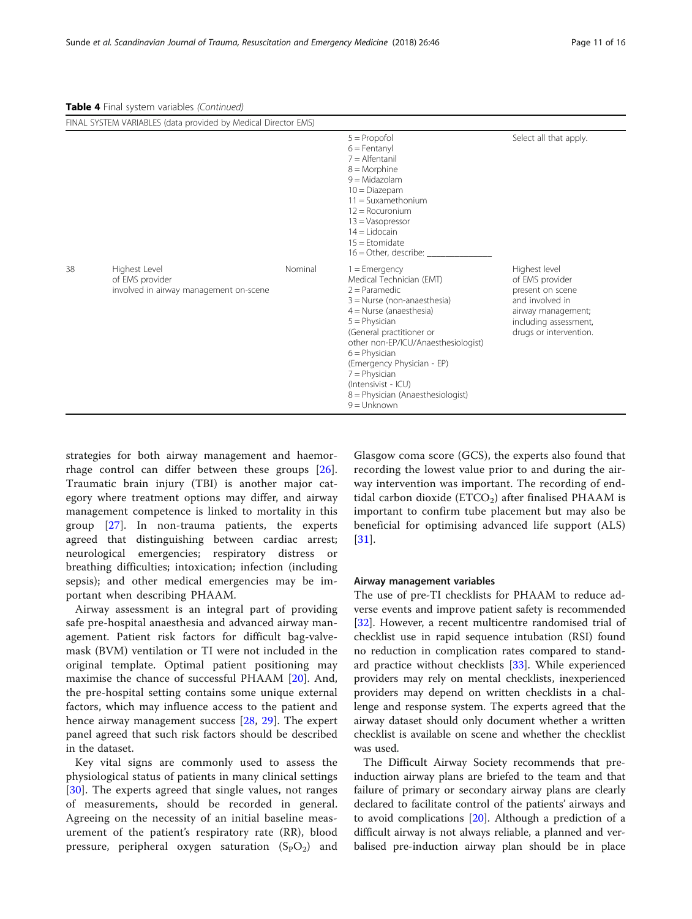#### Table 4 Final system variables (Continued)

|    | FINAL SYSTEM VARIABLES (data provided by Medical Director EMS)             |         | $5 =$ Propofol<br>$6 =$ Fentanyl<br>$7 =$ Alfentanil<br>$8 =$ Morphine<br>$9 = Midazolam$                                                                                                                                                                                                                                                                           | Select all that apply.                                                                                                                           |
|----|----------------------------------------------------------------------------|---------|---------------------------------------------------------------------------------------------------------------------------------------------------------------------------------------------------------------------------------------------------------------------------------------------------------------------------------------------------------------------|--------------------------------------------------------------------------------------------------------------------------------------------------|
|    |                                                                            |         | $10 = Diazepam$<br>$11 =$ Suxamethonium<br>$12 =$ Rocuronium<br>$13 = Vasopressor$<br>$14 =$ Lidocain<br>$15 =$ Etomidate<br>$16 =$ Other, describe: $\_\$                                                                                                                                                                                                          |                                                                                                                                                  |
| 38 | Highest Level<br>of EMS provider<br>involved in airway management on-scene | Nominal | $1 =$ Emergency<br>Medical Technician (EMT)<br>$2 =$ Paramedic<br>$3 =$ Nurse (non-anaesthesia)<br>$4 =$ Nurse (anaesthesia)<br>$5 =$ Physician<br>(General practitioner or<br>other non-EP/ICU/Anaesthesiologist)<br>$6 =$ Physician<br>(Emergency Physician - EP)<br>$7 =$ Physician<br>(Intensivist - ICU)<br>8 = Physician (Anaesthesiologist)<br>$9 =$ Unknown | Highest level<br>of EMS provider<br>present on scene<br>and involved in<br>airway management;<br>including assessment,<br>drugs or intervention. |

strategies for both airway management and haemorrhage control can differ between these groups [\[26](#page-13-0)]. Traumatic brain injury (TBI) is another major category where treatment options may differ, and airway management competence is linked to mortality in this group [\[27](#page-13-0)]. In non-trauma patients, the experts agreed that distinguishing between cardiac arrest; neurological emergencies; respiratory distress or breathing difficulties; intoxication; infection (including sepsis); and other medical emergencies may be important when describing PHAAM.

Airway assessment is an integral part of providing safe pre-hospital anaesthesia and advanced airway management. Patient risk factors for difficult bag-valvemask (BVM) ventilation or TI were not included in the original template. Optimal patient positioning may maximise the chance of successful PHAAM [\[20](#page-13-0)]. And, the pre-hospital setting contains some unique external factors, which may influence access to the patient and hence airway management success [[28,](#page-13-0) [29](#page-14-0)]. The expert panel agreed that such risk factors should be described in the dataset.

Key vital signs are commonly used to assess the physiological status of patients in many clinical settings [[30](#page-14-0)]. The experts agreed that single values, not ranges of measurements, should be recorded in general. Agreeing on the necessity of an initial baseline measurement of the patient's respiratory rate (RR), blood pressure, peripheral oxygen saturation  $(S_PO_2)$  and Glasgow coma score (GCS), the experts also found that recording the lowest value prior to and during the airway intervention was important. The recording of endtidal carbon dioxide ( $ETCO<sub>2</sub>$ ) after finalised PHAAM is important to confirm tube placement but may also be beneficial for optimising advanced life support (ALS) [[31](#page-14-0)].

#### Airway management variables

The use of pre-TI checklists for PHAAM to reduce adverse events and improve patient safety is recommended [[32\]](#page-14-0). However, a recent multicentre randomised trial of checklist use in rapid sequence intubation (RSI) found no reduction in complication rates compared to standard practice without checklists [\[33](#page-14-0)]. While experienced providers may rely on mental checklists, inexperienced providers may depend on written checklists in a challenge and response system. The experts agreed that the airway dataset should only document whether a written checklist is available on scene and whether the checklist was used.

The Difficult Airway Society recommends that preinduction airway plans are briefed to the team and that failure of primary or secondary airway plans are clearly declared to facilitate control of the patients' airways and to avoid complications [[20](#page-13-0)]. Although a prediction of a difficult airway is not always reliable, a planned and verbalised pre-induction airway plan should be in place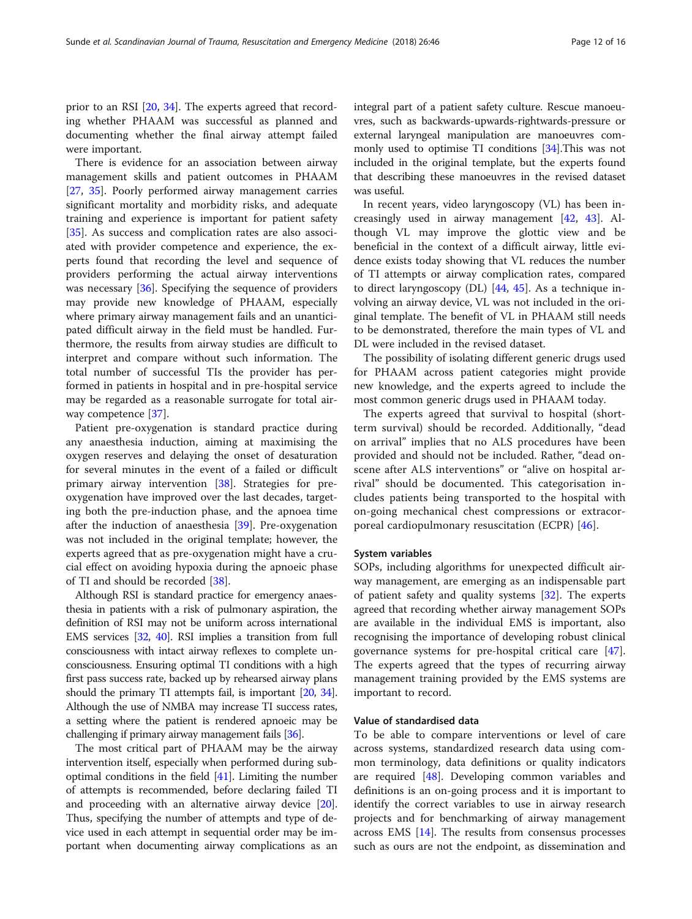prior to an RSI [\[20](#page-13-0), [34](#page-14-0)]. The experts agreed that recording whether PHAAM was successful as planned and documenting whether the final airway attempt failed were important.

There is evidence for an association between airway management skills and patient outcomes in PHAAM [[27,](#page-13-0) [35](#page-14-0)]. Poorly performed airway management carries significant mortality and morbidity risks, and adequate training and experience is important for patient safety [[35\]](#page-14-0). As success and complication rates are also associated with provider competence and experience, the experts found that recording the level and sequence of providers performing the actual airway interventions was necessary [[36](#page-14-0)]. Specifying the sequence of providers may provide new knowledge of PHAAM, especially where primary airway management fails and an unanticipated difficult airway in the field must be handled. Furthermore, the results from airway studies are difficult to interpret and compare without such information. The total number of successful TIs the provider has performed in patients in hospital and in pre-hospital service may be regarded as a reasonable surrogate for total airway competence [\[37](#page-14-0)].

Patient pre-oxygenation is standard practice during any anaesthesia induction, aiming at maximising the oxygen reserves and delaying the onset of desaturation for several minutes in the event of a failed or difficult primary airway intervention [\[38\]](#page-14-0). Strategies for preoxygenation have improved over the last decades, targeting both the pre-induction phase, and the apnoea time after the induction of anaesthesia [[39\]](#page-14-0). Pre-oxygenation was not included in the original template; however, the experts agreed that as pre-oxygenation might have a crucial effect on avoiding hypoxia during the apnoeic phase of TI and should be recorded [\[38](#page-14-0)].

Although RSI is standard practice for emergency anaesthesia in patients with a risk of pulmonary aspiration, the definition of RSI may not be uniform across international EMS services [\[32,](#page-14-0) [40\]](#page-14-0). RSI implies a transition from full consciousness with intact airway reflexes to complete unconsciousness. Ensuring optimal TI conditions with a high first pass success rate, backed up by rehearsed airway plans should the primary TI attempts fail, is important [\[20](#page-13-0), [34](#page-14-0)]. Although the use of NMBA may increase TI success rates, a setting where the patient is rendered apnoeic may be challenging if primary airway management fails [\[36\]](#page-14-0).

The most critical part of PHAAM may be the airway intervention itself, especially when performed during suboptimal conditions in the field [\[41\]](#page-14-0). Limiting the number of attempts is recommended, before declaring failed TI and proceeding with an alternative airway device [[20](#page-13-0)]. Thus, specifying the number of attempts and type of device used in each attempt in sequential order may be important when documenting airway complications as an integral part of a patient safety culture. Rescue manoeuvres, such as backwards-upwards-rightwards-pressure or external laryngeal manipulation are manoeuvres commonly used to optimise TI conditions [\[34](#page-14-0)].This was not included in the original template, but the experts found that describing these manoeuvres in the revised dataset was useful.

In recent years, video laryngoscopy (VL) has been increasingly used in airway management [[42](#page-14-0), [43\]](#page-14-0). Although VL may improve the glottic view and be beneficial in the context of a difficult airway, little evidence exists today showing that VL reduces the number of TI attempts or airway complication rates, compared to direct laryngoscopy (DL) [\[44](#page-14-0), [45\]](#page-14-0). As a technique involving an airway device, VL was not included in the original template. The benefit of VL in PHAAM still needs to be demonstrated, therefore the main types of VL and DL were included in the revised dataset.

The possibility of isolating different generic drugs used for PHAAM across patient categories might provide new knowledge, and the experts agreed to include the most common generic drugs used in PHAAM today.

The experts agreed that survival to hospital (shortterm survival) should be recorded. Additionally, "dead on arrival" implies that no ALS procedures have been provided and should not be included. Rather, "dead onscene after ALS interventions" or "alive on hospital arrival" should be documented. This categorisation includes patients being transported to the hospital with on-going mechanical chest compressions or extracorporeal cardiopulmonary resuscitation (ECPR) [\[46](#page-14-0)].

### System variables

SOPs, including algorithms for unexpected difficult airway management, are emerging as an indispensable part of patient safety and quality systems [[32](#page-14-0)]. The experts agreed that recording whether airway management SOPs are available in the individual EMS is important, also recognising the importance of developing robust clinical governance systems for pre-hospital critical care [\[47](#page-14-0)]. The experts agreed that the types of recurring airway management training provided by the EMS systems are important to record.

## Value of standardised data

To be able to compare interventions or level of care across systems, standardized research data using common terminology, data definitions or quality indicators are required [[48\]](#page-14-0). Developing common variables and definitions is an on-going process and it is important to identify the correct variables to use in airway research projects and for benchmarking of airway management across EMS [[14\]](#page-13-0). The results from consensus processes such as ours are not the endpoint, as dissemination and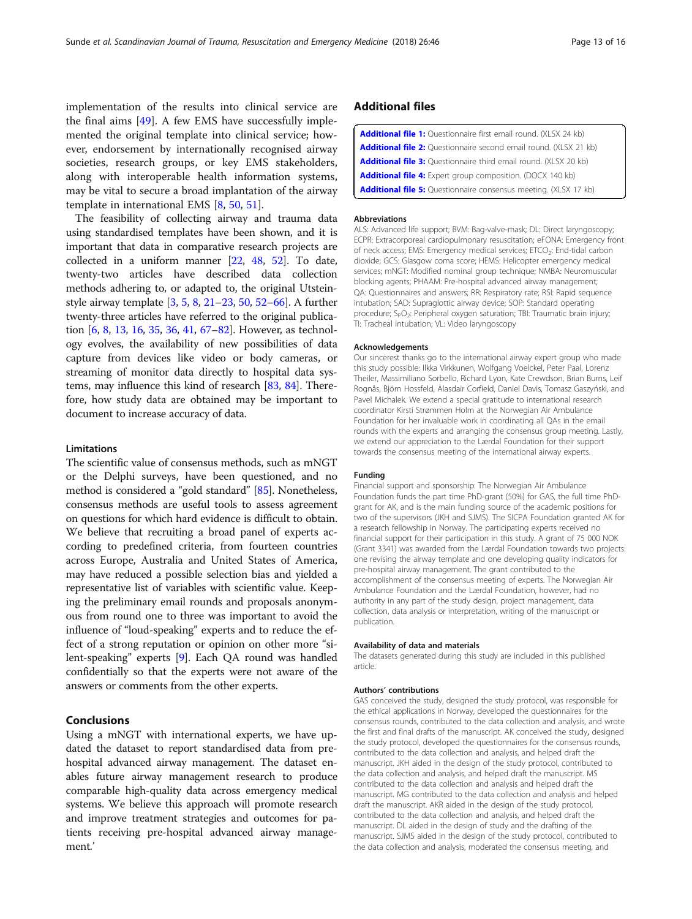<span id="page-12-0"></span>implementation of the results into clinical service are the final aims [\[49](#page-14-0)]. A few EMS have successfully implemented the original template into clinical service; however, endorsement by internationally recognised airway societies, research groups, or key EMS stakeholders, along with interoperable health information systems, may be vital to secure a broad implantation of the airway template in international EMS [\[8](#page-13-0), [50,](#page-14-0) [51\]](#page-14-0).

The feasibility of collecting airway and trauma data using standardised templates have been shown, and it is important that data in comparative research projects are collected in a uniform manner [\[22,](#page-13-0) [48](#page-14-0), [52\]](#page-14-0). To date, twenty-two articles have described data collection methods adhering to, or adapted to, the original Utsteinstyle airway template [\[3](#page-13-0), [5](#page-13-0), [8,](#page-13-0) [21](#page-13-0)–[23,](#page-13-0) [50](#page-14-0), [52](#page-14-0)–[66](#page-14-0)]. A further twenty-three articles have referred to the original publication [[6,](#page-13-0) [8](#page-13-0), [13](#page-13-0), [16,](#page-13-0) [35,](#page-14-0) [36](#page-14-0), [41](#page-14-0), [67](#page-14-0)–[82](#page-15-0)]. However, as technology evolves, the availability of new possibilities of data capture from devices like video or body cameras, or streaming of monitor data directly to hospital data systems, may influence this kind of research [\[83,](#page-15-0) [84\]](#page-15-0). Therefore, how study data are obtained may be important to document to increase accuracy of data.

## **Limitations**

The scientific value of consensus methods, such as mNGT or the Delphi surveys, have been questioned, and no method is considered a "gold standard" [[85](#page-15-0)]. Nonetheless, consensus methods are useful tools to assess agreement on questions for which hard evidence is difficult to obtain. We believe that recruiting a broad panel of experts according to predefined criteria, from fourteen countries across Europe, Australia and United States of America, may have reduced a possible selection bias and yielded a representative list of variables with scientific value. Keeping the preliminary email rounds and proposals anonymous from round one to three was important to avoid the influence of "loud-speaking" experts and to reduce the effect of a strong reputation or opinion on other more "silent-speaking" experts [\[9\]](#page-13-0). Each QA round was handled confidentially so that the experts were not aware of the answers or comments from the other experts.

## Conclusions

Using a mNGT with international experts, we have updated the dataset to report standardised data from prehospital advanced airway management. The dataset enables future airway management research to produce comparable high-quality data across emergency medical systems. We believe this approach will promote research and improve treatment strategies and outcomes for patients receiving pre-hospital advanced airway management.'

## Additional files

| <b>Additional file 1:</b> Questionnaire first email round. (XLSX 24 kb)  |
|--------------------------------------------------------------------------|
| <b>Additional file 2:</b> Questionnaire second email round. (XLSX 21 kb) |
| <b>Additional file 3:</b> Questionnaire third email round. (XLSX 20 kb)  |
| <b>Additional file 4:</b> Expert group composition. (DOCX 140 kb)        |
| <b>Additional file 5:</b> Questionnaire consensus meeting. (XLSX 17 kb)  |

#### Abbreviations

ALS: Advanced life support; BVM: Bag-valve-mask; DL: Direct laryngoscopy; ECPR: Extracorporeal cardiopulmonary resuscitation; eFONA: Emergency front of neck access; EMS: Emergency medical services; ETCO<sub>2</sub>: End-tidal carbon dioxide; GCS: Glasgow coma score; HEMS: Helicopter emergency medical services; mNGT: Modified nominal group technique; NMBA: Neuromuscular blocking agents; PHAAM: Pre-hospital advanced airway management; QA: Questionnaires and answers; RR: Respiratory rate; RSI: Rapid sequence intubation; SAD: Supraglottic airway device; SOP: Standard operating procedure; S<sub>P</sub>O<sub>2</sub>: Peripheral oxygen saturation; TBI: Traumatic brain injury; TI: Tracheal intubation; VL: Video laryngoscopy

#### Acknowledgements

Our sincerest thanks go to the international airway expert group who made this study possible: Ilkka Virkkunen, Wolfgang Voelckel, Peter Paal, Lorenz Theiler, Massimiliano Sorbello, Richard Lyon, Kate Crewdson, Brian Burns, Leif Rognås, Björn Hossfeld, Alasdair Corfield, Daniel Davis, Tomasz Gaszyński, and Pavel Michalek. We extend a special gratitude to international research coordinator Kirsti Strømmen Holm at the Norwegian Air Ambulance Foundation for her invaluable work in coordinating all QAs in the email rounds with the experts and arranging the consensus group meeting. Lastly, we extend our appreciation to the Lærdal Foundation for their support towards the consensus meeting of the international airway experts.

#### Funding

Financial support and sponsorship: The Norwegian Air Ambulance Foundation funds the part time PhD-grant (50%) for GAS, the full time PhDgrant for AK, and is the main funding source of the academic positions for two of the supervisors (JKH and SJMS). The SICPA Foundation granted AK for a research fellowship in Norway. The participating experts received no financial support for their participation in this study. A grant of 75 000 NOK (Grant 3341) was awarded from the Lærdal Foundation towards two projects: one revising the airway template and one developing quality indicators for pre-hospital airway management. The grant contributed to the accomplishment of the consensus meeting of experts. The Norwegian Air Ambulance Foundation and the Lærdal Foundation, however, had no authority in any part of the study design, project management, data collection, data analysis or interpretation, writing of the manuscript or publication.

#### Availability of data and materials

The datasets generated during this study are included in this published article.

#### Authors' contributions

GAS conceived the study, designed the study protocol, was responsible for the ethical applications in Norway, developed the questionnaires for the consensus rounds, contributed to the data collection and analysis, and wrote the first and final drafts of the manuscript. AK conceived the study, designed the study protocol, developed the questionnaires for the consensus rounds, contributed to the data collection and analysis, and helped draft the manuscript. JKH aided in the design of the study protocol, contributed to the data collection and analysis, and helped draft the manuscript. MS contributed to the data collection and analysis and helped draft the manuscript. MG contributed to the data collection and analysis and helped draft the manuscript. AKR aided in the design of the study protocol, contributed to the data collection and analysis, and helped draft the manuscript. DL aided in the design of study and the drafting of the manuscript. SJMS aided in the design of the study protocol, contributed to the data collection and analysis, moderated the consensus meeting, and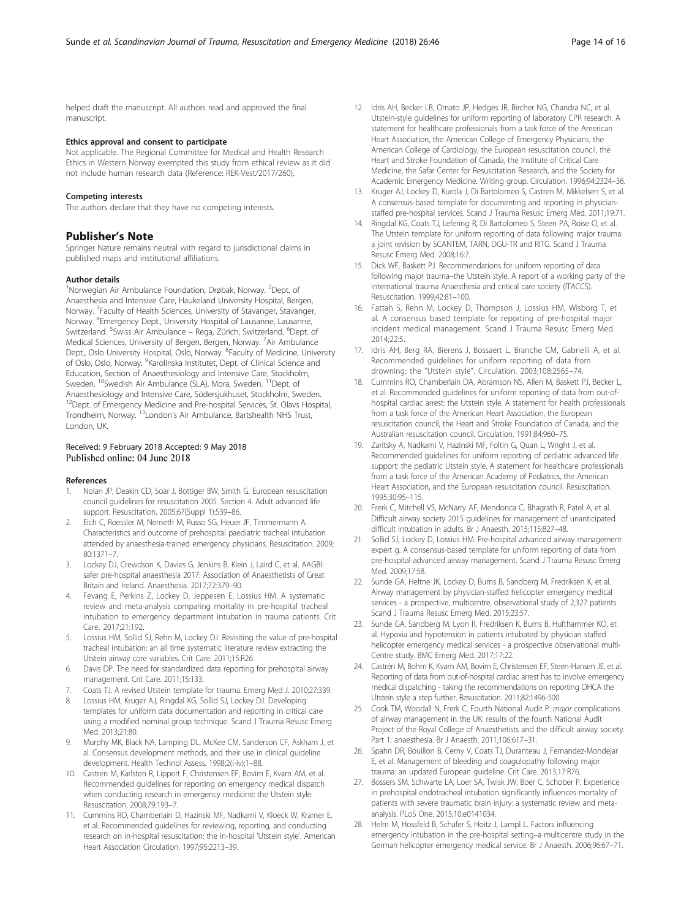<span id="page-13-0"></span>helped draft the manuscript. All authors read and approved the final manuscript.

#### Ethics approval and consent to participate

Not applicable. The Regional Committee for Medical and Health Research Ethics in Western Norway exempted this study from ethical review as it did not include human research data (Reference: REK-Vest/2017/260).

#### Competing interests

The authors declare that they have no competing interests.

### Publisher's Note

Springer Nature remains neutral with regard to jurisdictional claims in published maps and institutional affiliations.

#### Author details

<sup>1</sup>Norwegian Air Ambulance Foundation, Drøbak, Norway. <sup>2</sup>Dept. of Anaesthesia and Intensive Care, Haukeland University Hospital, Bergen, Norway. <sup>3</sup> Faculty of Health Sciences, University of Stavanger, Stavanger, Norway. <sup>4</sup> Emergency Dept., University Hospital of Lausanne, Lausanne, Switzerland. <sup>5</sup>Swiss Air Ambulance – Rega, Zürich, Switzerland. <sup>6</sup>Dept. of Medical Sciences, University of Bergen, Bergen, Norway. <sup>7</sup>Air Ambulance Dept., Oslo University Hospital, Oslo, Norway. <sup>8</sup>Faculty of Medicine, University of Oslo, Oslo, Norway. <sup>9</sup>Karolinska Institutet, Dept. of Clinical Science and Education, Section of Anaesthesiology and Intensive Care, Stockholm, Sweden. <sup>10</sup>Swedish Air Ambulance (SLA), Mora, Sweden. <sup>11</sup>Dept. of Anaesthesiology and Intensive Care, Södersjukhuset, Stockholm, Sweden. <sup>12</sup>Dept. of Emergency Medicine and Pre-hospital Services, St. Olavs Hospital, Trondheim, Norway. 13London's Air Ambulance, Bartshealth NHS Trust, London, UK.

#### Received: 9 February 2018 Accepted: 9 May 2018 Published online: 04 June 2018

#### References

- 1. Nolan JP, Deakin CD, Soar J, Bottiger BW, Smith G. European resuscitation council guidelines for resuscitation 2005. Section 4. Adult advanced life support. Resuscitation. 2005;67(Suppl 1):S39–86.
- 2. Eich C, Roessler M, Nemeth M, Russo SG, Heuer JF, Timmermann A. Characteristics and outcome of prehospital paediatric tracheal intubation attended by anaesthesia-trained emergency physicians. Resuscitation. 2009; 80:1371–7.
- 3. Lockey DJ, Crewdson K, Davies G, Jenkins B, Klein J, Laird C, et al. AAGBI: safer pre-hospital anaesthesia 2017: Association of Anaesthetists of Great Britain and Ireland. Anaesthesia. 2017;72:379–90.
- 4. Fevang E, Perkins Z, Lockey D, Jeppesen E, Lossius HM. A systematic review and meta-analysis comparing mortality in pre-hospital tracheal intubation to emergency department intubation in trauma patients. Crit Care. 2017;21:192.
- 5. Lossius HM, Sollid SJ, Rehn M, Lockey DJ. Revisiting the value of pre-hospital tracheal intubation: an all time systematic literature review extracting the Utstein airway core variables. Crit Care. 2011;15:R26.
- 6. Davis DP. The need for standardized data reporting for prehospital airway management. Crit Care. 2011;15:133.
- Coats TJ. A revised Utstein template for trauma. Emerg Med J. 2010;27:339.
- 8. Lossius HM, Kruger AJ, Ringdal KG, Sollid SJ, Lockey DJ. Developing templates for uniform data documentation and reporting in critical care using a modified nominal group technique. Scand J Trauma Resusc Emerg Med. 2013;21:80.
- 9. Murphy MK, Black NA, Lamping DL, McKee CM, Sanderson CF, Askham J, et al. Consensus development methods, and their use in clinical guideline development. Health Technol Assess. 1998;2(i-iv):1–88.
- 10. Castren M, Karlsten R, Lippert F, Christensen EF, Bovim E, Kvam AM, et al. Recommended guidelines for reporting on emergency medical dispatch when conducting research in emergency medicine: the Utstein style. Resuscitation. 2008;79:193–7.
- 11. Cummins RO, Chamberlain D, Hazinski MF, Nadkarni V, Kloeck W, Kramer E, et al. Recommended guidelines for reviewing, reporting, and conducting research on in-hospital resuscitation: the in-hospital 'Utstein style'. American Heart Association Circulation. 1997;95:2213–39.
- 12. Idris AH, Becker LB, Ornato JP, Hedges JR, Bircher NG, Chandra NC, et al. Utstein-style guidelines for uniform reporting of laboratory CPR research. A statement for healthcare professionals from a task force of the American Heart Association, the American College of Emergency Physicians, the American College of Cardiology, the European resuscitation council, the Heart and Stroke Foundation of Canada, the Institute of Critical Care Medicine, the Safar Center for Resuscitation Research, and the Society for Academic Emergency Medicine. Writing group. Circulation. 1996;94:2324–36.
- 13. Kruger AJ, Lockey D, Kurola J, Di Bartolomeo S, Castren M, Mikkelsen S, et al. A consensus-based template for documenting and reporting in physicianstaffed pre-hospital services. Scand J Trauma Resusc Emerg Med. 2011;19:71.
- 14. Ringdal KG, Coats TJ, Lefering R, Di Bartolomeo S, Steen PA, Roise O, et al. The Utstein template for uniform reporting of data following major trauma: a joint revision by SCANTEM, TARN, DGU-TR and RITG. Scand J Trauma Resusc Emerg Med. 2008;16:7.
- 15. Dick WF, Baskett PJ. Recommendations for uniform reporting of data following major trauma–the Utstein style. A report of a working party of the international trauma Anaesthesia and critical care society (ITACCS). Resuscitation. 1999;42:81–100.
- 16. Fattah S, Rehn M, Lockey D, Thompson J, Lossius HM, Wisborg T, et al. A consensus based template for reporting of pre-hospital major incident medical management. Scand J Trauma Resusc Emerg Med. 2014;22:5.
- 17. Idris AH, Berg RA, Bierens J, Bossaert L, Branche CM, Gabrielli A, et al. Recommended guidelines for uniform reporting of data from drowning: the "Utstein style". Circulation. 2003;108:2565–74.
- 18. Cummins RO, Chamberlain DA, Abramson NS, Allen M, Baskett PJ, Becker L, et al. Recommended guidelines for uniform reporting of data from out-ofhospital cardiac arrest: the Utstein style. A statement for health professionals from a task force of the American Heart Association, the European resuscitation council, the Heart and Stroke Foundation of Canada, and the Australian resuscitation council. Circulation. 1991;84:960–75.
- 19. Zaritsky A, Nadkarni V, Hazinski MF, Foltin G, Quan L, Wright J, et al. Recommended guidelines for uniform reporting of pediatric advanced life support: the pediatric Utstein style. A statement for healthcare professionals from a task force of the American Academy of Pediatrics, the American Heart Association, and the European resuscitation council. Resuscitation. 1995;30:95–115.
- 20. Frerk C, Mitchell VS, McNarry AF, Mendonca C, Bhagrath R, Patel A, et al. Difficult airway society 2015 guidelines for management of unanticipated difficult intubation in adults. Br J Anaesth. 2015;115:827–48.
- 21. Sollid SJ, Lockey D, Lossius HM. Pre-hospital advanced airway management expert g. A consensus-based template for uniform reporting of data from pre-hospital advanced airway management. Scand J Trauma Resusc Emerg Med. 2009;17:58.
- 22. Sunde GA, Heltne JK, Lockey D, Burns B, Sandberg M, Fredriksen K, et al. Airway management by physician-staffed helicopter emergency medical services - a prospective, multicentre, observational study of 2,327 patients. Scand J Trauma Resusc Emerg Med. 2015;23:57.
- 23. Sunde GA, Sandberg M, Lyon R, Fredriksen K, Burns B, Hufthammer KO, et al. Hypoxia and hypotension in patients intubated by physician staffed helicopter emergency medical services - a prospective observational multi-Centre study. BMC Emerg Med. 2017;17:22.
- 24. Castrén M, Bohm K, Kvam AM, Bovim E, Christensen EF, Steen-Hansen JE, et al. Reporting of data from out-of-hospital cardiac arrest has to involve emergency medical dispatching - taking the recommendations on reporting OHCA the Utstein style a step further. Resuscitation. 2011;82:1496-500.
- 25. Cook TM, Woodall N, Frerk C, Fourth National Audit P. major complications of airway management in the UK: results of the fourth National Audit Project of the Royal College of Anaesthetists and the difficult airway society. Part 1: anaesthesia. Br J Anaesth. 2011;106:617–31.
- 26. Spahn DR, Bouillon B, Cerny V, Coats TJ, Duranteau J, Fernandez-Mondejar E, et al. Management of bleeding and coagulopathy following major trauma: an updated European guideline. Crit Care. 2013;17:R76.
- 27. Bossers SM, Schwarte LA, Loer SA, Twisk JW, Boer C, Schober P. Experience in prehospital endotracheal intubation significantly influences mortality of patients with severe traumatic brain injury: a systematic review and metaanalysis. PLoS One. 2015;10:e0141034.
- 28. Helm M, Hossfeld B, Schafer S, Hoitz J, Lampl L. Factors influencing emergency intubation in the pre-hospital setting–a multicentre study in the German helicopter emergency medical service. Br J Anaesth. 2006;96:67–71.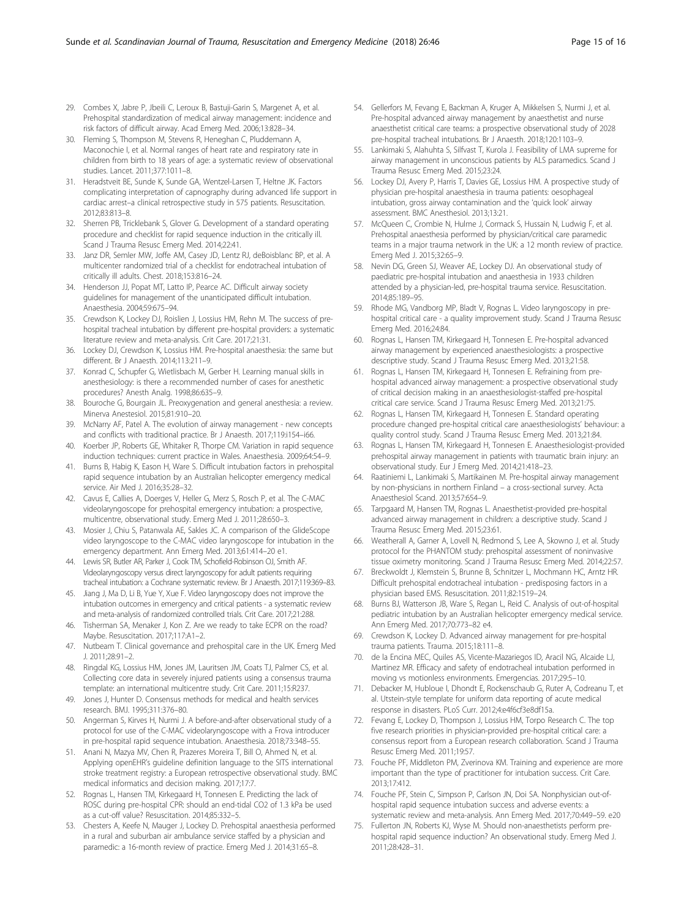- <span id="page-14-0"></span>29. Combes X, Jabre P, Jbeili C, Leroux B, Bastuji-Garin S, Margenet A, et al. Prehospital standardization of medical airway management: incidence and risk factors of difficult airway. Acad Emerg Med. 2006;13:828–34.
- 30. Fleming S, Thompson M, Stevens R, Heneghan C, Pluddemann A, Maconochie I, et al. Normal ranges of heart rate and respiratory rate in children from birth to 18 years of age: a systematic review of observational studies. Lancet. 2011;377:1011–8.
- 31. Heradstveit BE, Sunde K, Sunde GA, Wentzel-Larsen T, Heltne, JK. Factors complicating interpretation of capnography during advanced life support in cardiac arrest–a clinical retrospective study in 575 patients. Resuscitation. 2012;83:813–8.
- 32. Sherren PB, Tricklebank S, Glover G. Development of a standard operating procedure and checklist for rapid sequence induction in the critically ill. Scand J Trauma Resusc Emerg Med. 2014;22:41.
- 33. Janz DR, Semler MW, Joffe AM, Casey JD, Lentz RJ, deBoisblanc BP, et al. A multicenter randomized trial of a checklist for endotracheal intubation of critically ill adults. Chest. 2018;153:816–24.
- 34. Henderson JJ, Popat MT, Latto IP, Pearce AC. Difficult airway society guidelines for management of the unanticipated difficult intubation. Anaesthesia. 2004;59:675–94.
- 35. Crewdson K, Lockey DJ, Roislien J, Lossius HM, Rehn M. The success of prehospital tracheal intubation by different pre-hospital providers: a systematic literature review and meta-analysis. Crit Care. 2017;21:31.
- 36. Lockey DJ, Crewdson K, Lossius HM. Pre-hospital anaesthesia: the same but different. Br J Anaesth. 2014;113:211–9.
- 37. Konrad C, Schupfer G, Wietlisbach M, Gerber H. Learning manual skills in anesthesiology: is there a recommended number of cases for anesthetic procedures? Anesth Analg. 1998;86:635–9.
- 38. Bouroche G, Bourgain JL. Preoxygenation and general anesthesia: a review. Minerva Anestesiol. 2015;81:910–20.
- 39. McNarry AF, Patel A. The evolution of airway management new concepts and conflicts with traditional practice. Br J Anaesth. 2017;119:i154–i66.
- 40. Koerber JP, Roberts GE, Whitaker R, Thorpe CM. Variation in rapid sequence induction techniques: current practice in Wales. Anaesthesia. 2009;64:54–9.
- 41. Burns B, Habig K, Eason H, Ware S. Difficult intubation factors in prehospital rapid sequence intubation by an Australian helicopter emergency medical service. Air Med J. 2016;35:28–32.
- 42. Cavus E, Callies A, Doerges V, Heller G, Merz S, Rosch P, et al. The C-MAC videolaryngoscope for prehospital emergency intubation: a prospective, multicentre, observational study. Emerg Med J. 2011;28:650–3.
- 43. Mosier J, Chiu S, Patanwala AE, Sakles JC. A comparison of the GlideScope video laryngoscope to the C-MAC video laryngoscope for intubation in the emergency department. Ann Emerg Med. 2013;61:414–20 e1.
- 44. Lewis SR, Butler AR, Parker J, Cook TM, Schofield-Robinson OJ, Smith AF. Videolaryngoscopy versus direct laryngoscopy for adult patients requiring tracheal intubation: a Cochrane systematic review. Br J Anaesth. 2017;119:369–83.
- 45. Jiang J, Ma D, Li B, Yue Y, Xue F. Video laryngoscopy does not improve the intubation outcomes in emergency and critical patients - a systematic review and meta-analysis of randomized controlled trials. Crit Care. 2017;21:288.
- 46. Tisherman SA, Menaker J, Kon Z. Are we ready to take ECPR on the road? Maybe. Resuscitation. 2017;117:A1–2.
- 47. Nutbeam T. Clinical governance and prehospital care in the UK. Emerg Med J. 2011;28:91–2.
- 48. Ringdal KG, Lossius HM, Jones JM, Lauritsen JM, Coats TJ, Palmer CS, et al. Collecting core data in severely injured patients using a consensus trauma template: an international multicentre study. Crit Care. 2011;15:R237.
- 49. Jones J, Hunter D. Consensus methods for medical and health services research. BMJ. 1995;311:376–80.
- 50. Angerman S, Kirves H, Nurmi J. A before-and-after observational study of a protocol for use of the C-MAC videolaryngoscope with a Frova introducer in pre-hospital rapid sequence intubation. Anaesthesia. 2018;73:348–55.
- 51. Anani N, Mazya MV, Chen R, Prazeres Moreira T, Bill O, Ahmed N, et al. Applying openEHR's guideline definition language to the SITS international stroke treatment registry: a European retrospective observational study. BMC medical informatics and decision making. 2017;17:7.
- 52. Rognas L, Hansen TM, Kirkegaard H, Tonnesen E. Predicting the lack of ROSC during pre-hospital CPR: should an end-tidal CO2 of 1.3 kPa be used as a cut-off value? Resuscitation. 2014;85:332–5.
- 53. Chesters A, Keefe N, Mauger J, Lockey D. Prehospital anaesthesia performed in a rural and suburban air ambulance service staffed by a physician and paramedic: a 16-month review of practice. Emerg Med J. 2014;31:65–8.
- 54. Gellerfors M, Fevang E, Backman A, Kruger A, Mikkelsen S, Nurmi J, et al. Pre-hospital advanced airway management by anaesthetist and nurse anaesthetist critical care teams: a prospective observational study of 2028 pre-hospital tracheal intubations. Br J Anaesth. 2018;120:1103–9.
- 55. Lankimaki S, Alahuhta S, Silfvast T, Kurola J. Feasibility of LMA supreme for airway management in unconscious patients by ALS paramedics. Scand J Trauma Resusc Emerg Med. 2015;23:24.
- 56. Lockey DJ, Avery P, Harris T, Davies GE, Lossius HM. A prospective study of physician pre-hospital anaesthesia in trauma patients: oesophageal intubation, gross airway contamination and the 'quick look' airway assessment. BMC Anesthesiol. 2013;13:21.
- 57. McQueen C, Crombie N, Hulme J, Cormack S, Hussain N, Ludwig F, et al. Prehospital anaesthesia performed by physician/critical care paramedic teams in a major trauma network in the UK: a 12 month review of practice. Emerg Med J. 2015;32:65–9.
- 58. Nevin DG, Green SJ, Weaver AE, Lockey DJ. An observational study of paediatric pre-hospital intubation and anaesthesia in 1933 children attended by a physician-led, pre-hospital trauma service. Resuscitation. 2014;85:189–95.
- 59. Rhode MG, Vandborg MP, Bladt V, Rognas L. Video laryngoscopy in prehospital critical care - a quality improvement study. Scand J Trauma Resusc Emerg Med. 2016;24:84.
- 60. Rognas L, Hansen TM, Kirkegaard H, Tonnesen E. Pre-hospital advanced airway management by experienced anaesthesiologists: a prospective descriptive study. Scand J Trauma Resusc Emerg Med. 2013;21:58.
- 61. Rognas L, Hansen TM, Kirkegaard H, Tonnesen E. Refraining from prehospital advanced airway management: a prospective observational study of critical decision making in an anaesthesiologist-staffed pre-hospital critical care service. Scand J Trauma Resusc Emerg Med. 2013;21:75.
- 62. Rognas L, Hansen TM, Kirkegaard H, Tonnesen E. Standard operating procedure changed pre-hospital critical care anaesthesiologists' behaviour: a quality control study. Scand J Trauma Resusc Emerg Med. 2013;21:84.
- 63. Rognas L, Hansen TM, Kirkegaard H, Tonnesen E. Anaesthesiologist-provided prehospital airway management in patients with traumatic brain injury: an observational study. Eur J Emerg Med. 2014;21:418–23.
- 64. Raatiniemi L, Lankimaki S, Martikainen M. Pre-hospital airway management by non-physicians in northern Finland – a cross-sectional survey. Acta Anaesthesiol Scand. 2013;57:654–9.
- 65. Tarpgaard M, Hansen TM, Rognas L. Anaesthetist-provided pre-hospital advanced airway management in children: a descriptive study. Scand J Trauma Resusc Emerg Med. 2015;23:61.
- 66. Weatherall A, Garner A, Lovell N, Redmond S, Lee A, Skowno J, et al. Study protocol for the PHANTOM study: prehospital assessment of noninvasive tissue oximetry monitoring. Scand J Trauma Resusc Emerg Med. 2014;22:57.
- 67. Breckwoldt J, Klemstein S, Brunne B, Schnitzer L, Mochmann HC, Arntz HR. Difficult prehospital endotracheal intubation - predisposing factors in a physician based EMS. Resuscitation. 2011;82:1519–24.
- 68. Burns BJ, Watterson JB, Ware S, Regan L, Reid C. Analysis of out-of-hospital pediatric intubation by an Australian helicopter emergency medical service. Ann Emerg Med. 2017;70:773–82 e4.
- 69. Crewdson K, Lockey D. Advanced airway management for pre-hospital trauma patients. Trauma. 2015;18:111–8.
- 70. de la Encina MEC, Quiles AS, Vicente-Mazariegos ID, Aracil NG, Alcaide LJ, Martinez MR. Efficacy and safety of endotracheal intubation performed in moving vs motionless environments. Emergencias. 2017;29:5–10.
- 71. Debacker M, Hubloue I, Dhondt E, Rockenschaub G, Ruter A, Codreanu T, et al. Utstein-style template for uniform data reporting of acute medical response in disasters. PLoS Curr. 2012;4:e4f6cf3e8df15a.
- 72. Fevang E, Lockey D, Thompson J, Lossius HM, Torpo Research C. The top five research priorities in physician-provided pre-hospital critical care: a consensus report from a European research collaboration. Scand J Trauma Resusc Emerg Med. 2011;19:57.
- 73. Fouche PF, Middleton PM, Zverinova KM. Training and experience are more important than the type of practitioner for intubation success. Crit Care. 2013;17:412.
- 74. Fouche PF, Stein C, Simpson P, Carlson JN, Doi SA. Nonphysician out-ofhospital rapid sequence intubation success and adverse events: a systematic review and meta-analysis. Ann Emerg Med. 2017;70:449–59. e20
- 75. Fullerton JN, Roberts KJ, Wyse M. Should non-anaesthetists perform prehospital rapid sequence induction? An observational study. Emerg Med J. 2011;28:428–31.